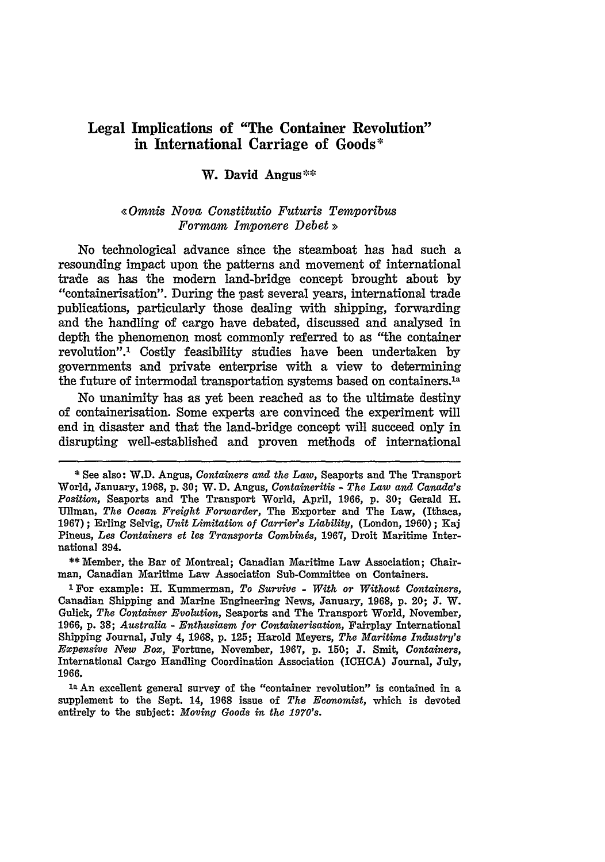# **Legal Implications of "The Container Revolution" in International Carriage of Goods\***

## **W. David Angus-\***

## *<<Omnis Nova Constitutio Futuris Temporibus Formam Imponere Debet>>*

No technological advance since the steamboat has had such a resounding impact upon the patterns and movement of international trade as has the modern land-bridge concept brought about by "containerisation". During the past several years, international trade publications, particularly those dealing with shipping, forwarding and the handling of cargo have debated, discussed and analysed in depth the phenomenon most commonly referred to as "the container revolution".1 Costly feasibility studies have been undertaken by governments and private enterprise with a view to determining the future of intermodal transportation systems based on containers.<sup>1a</sup>

No unanimity has as yet been reached as to the ultimate destiny of containerisation. Some experts are convinced the experiment will end in disaster and that the land-bridge concept will succeed only in disrupting well-established and proven methods of international

\*\* Member, the Bar of Montreal; Canadian Maritime Law Association; Chairman, Canadian Maritime Law Association Sub-Committee on Containers.

**1** For example: H. Kummerman, To *Survive* - *With or Without Containers,* Canadian Shipping and Marine Engineering News, January, 1968, p. 20; J. W. Gulick, *The Container Evolution,* Seaports and The Transport World, November, 1966, p. 38; *Australia* - *Enthusiasm for Containerisation,* Fairplay International Shipping Journal, July 4, 1968, p. 125; Harold Meyers, *The Maritime Industry's Expensive NeW Box,* Fortune, November, 1967, p. 150; J. Sntit, *Containers,* International Cargo Handling Coordination Association (ICHCA) Journal, July, 1966.

1a An excellent general survey of the "container revolution" is contained in a supplement to the Sept. 14, 1968 issue of *The Economist,* which is devoted entirely to the subject: *Moving Goods in the 1970's.*

**<sup>\*</sup>** See also: W.D. Angus, *Containers and the Law,* Seaports and The Transport World, January, 1968, **p. 30;** W. **D.** Angus, *Containeritis* - *The Law and Canada's Position,* Seaports and The Transport World, April, 1966, p. **30;** Gerald H. Ullman, *The Ocean Freight Forwarder,* The Exporter and The Law, (Ithaca, 1967); Erling Selvig, *Unit Limitation of Carrier's Liability,* (London, 1960); Kaj Pineus, *Les Containers et* les *Transports Combines,* 1.967, Droit Maritime International 394.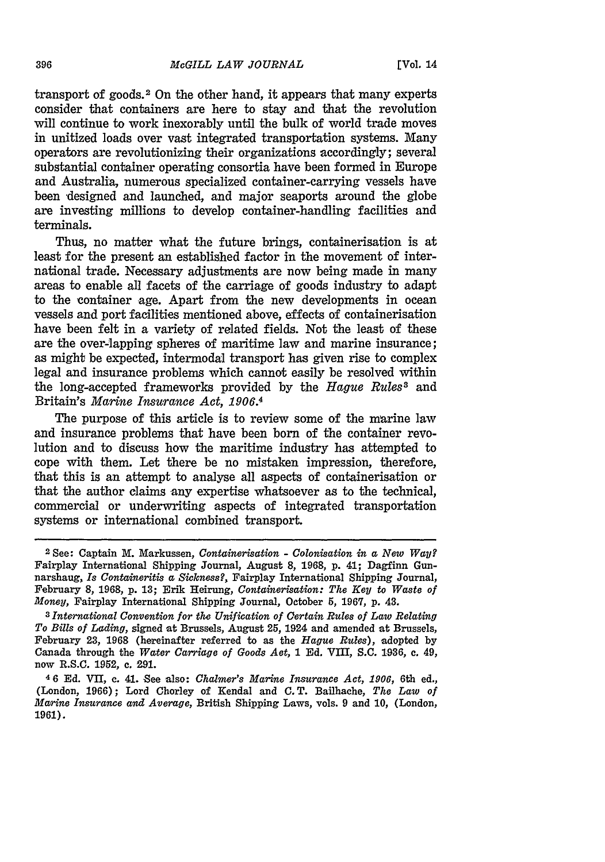transport of goods. 2 On the other hand, it appears that many experts consider that containers are here to stay and that the revolution will continue to work inexorably until the bulk of world trade moves in unitized loads over vast integrated transportation systems. Many operators are revolutionizing their organizations accordingly; several substantial container operating consortia have been formed in Europe and Australia, numerous specialized container-carrying vessels have been designed and launched, and major seaports around the globe are investing millions to develop container-handling facilities and terminals.

Thus, no matter what the future brings, containerisation is at least for the present an established factor in the movement of international trade. Necessary adjustments are now being made in many areas to enable all facets of the carriage of goods industry to adapt to the container age. Apart from the new developments in ocean vessels and port facilities mentioned above, effects of containerisation have been felt in a variety of related fields. Not the least of these are the over-lapping spheres of maritime law and marine insurance; as might be expected, intermodal transport has given rise to complex legal and insurance problems which cannot easily be resolved within the long-accepted frameworks provided by the *Hague Rules3* and Britain's *Marine Insurance Act, 1906.4*

The purpose of this article is to review some of the marine law and insurance problems that have been born of the container revolution and to discuss how the maritime industry has attempted to cope with them. Let there be no mistaken impression, therefore, that this is an attempt to analyse all aspects of containerisation or that the author claims any expertise whatsoever as to the technical, commercial or underwriting aspects of integrated transportation systems or international combined transport.

**<sup>2</sup>** See: Captain M. Markussen, *Containerisation* **-** *Colonisation in a New Way?* Fairplay International Shipping Journal, August **8, 1968, p.** 41; Dagfinn Gunnarshaug, *Is Containeritis a Sickness?,* Fairplay International Shipping Journal, February **8,** 1968, **p. 13;** Erik Heirung, *Containerisation: The Key to Waste of Money,* Fairplay International Shipping Journal, October 5, **1967,** p. 43.

*<sup>3</sup>International Convention for the Unification of Oertain Rules of Law Relating To Bills of Lading,* signed at Brussels, August 25, 1924 and amended at Brussels, February **23, 1968** (hereinafter referred to as the *Hague Rules),* adopted by Canada through the *Water Carriage of Goods Act,* 1 Ed. VIII, **S.C. 1936,** c. 49, now R.S.C. 1952, c. **291.**

**<sup>46</sup> Ed.** VII, **c.** 41. **See** also: *Chalmer's Marine Insurance Act, 1906,* 6th **ed.,** (London, 1966); Lord Chorley of Kendal and C.T. Bailhache, *The Law of Marine Insurance and Average,* British Shipping Laws, vols. 9 and **10,** (London, 1961).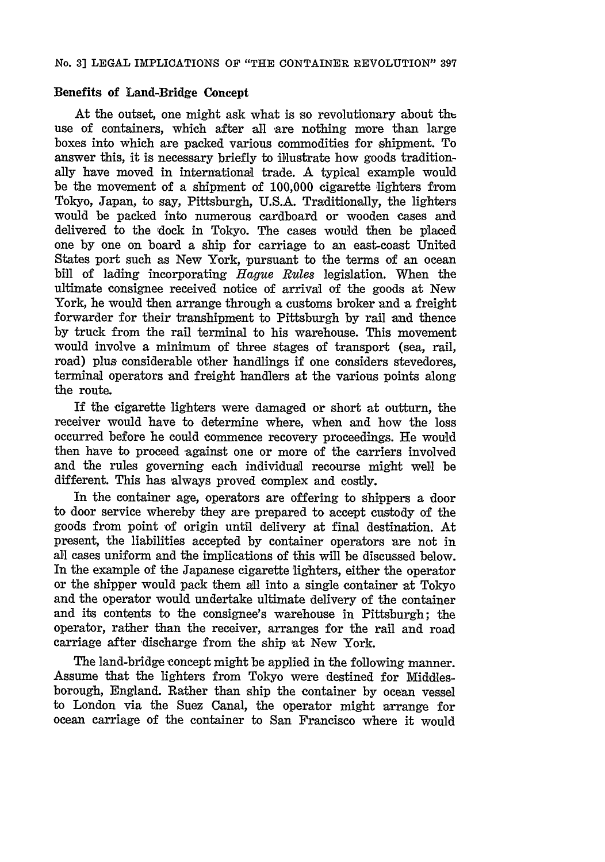### **Benefits of Land-Bridge Concept**

**At** the outset, one might ask what is so revolutionary about th use of containers, which after all are nothing more than large boxes into which are packed various commodities for shipment. To answer this, it is necessary briefly to illustrate how goods traditionally have moved in international trade. A typical example would be the movement of a shipment of 100,000 cigarette lighters from Tokyo, Japan, to say, Pittsburgh, U.S.A. Traditionally, the lighters would be packed into numerous cardboard or wooden cases and delivered to the dock in Tokyo. The cases would then be placed one by one on board a ship for carriage to an east-coast United States port such as New York, pursuant to the terms of an ocean bill of lading incorporating *Hague Rules* legislation. When the ultimate consignee received notice of arrival of the goods at New York, he would then arrange through a customs broker and a freight forwarder for their transhipment to Pittsburgh **by** rail and thence **by** truck from the rail terminal to his warehouse. This movement would involve a minimum of three stages of transport (sea, rail, road) plus considerable other handlings if one considers stevedores, terminal operators and freight handlers at the various points along the route.

If the cigarette lighters were damaged or short at outturn, the receiver would have to determine where, when and how the loss occurred before he could commence recovery proceedings. He would then have to proceed against one or more of the carriers involved and the rules governing each individual recourse might well be different. This has always proved complex and costly.

In the container age, operators are offering to shippers a door to door service whereby they are prepared to accept custody of the goods from point of origin until delivery at final destination. At present, the liabilities accepted by container operators are not in all cases uniform and the implications of this will be discussed below. In the example of the Japanese cigarette lighters, either the operator or the shipper would pack them all into a single container at Tokyo and the operator would undertake ultimate delivery of the container and its contents to the consignee's warehouse in Pittsburgh; the operator, rather than the receiver, arranges for the rail and road carriage after discharge from the ship at New York.

The land-bridge concept might be applied in the following manner. Assume that the lighters from Tokyo were destined for Middlesborough, England. Rather than ship the container by ocean vessel to London via the Suez Canal, the operator might arrange for ocean carriage of the container to San Francisco where it would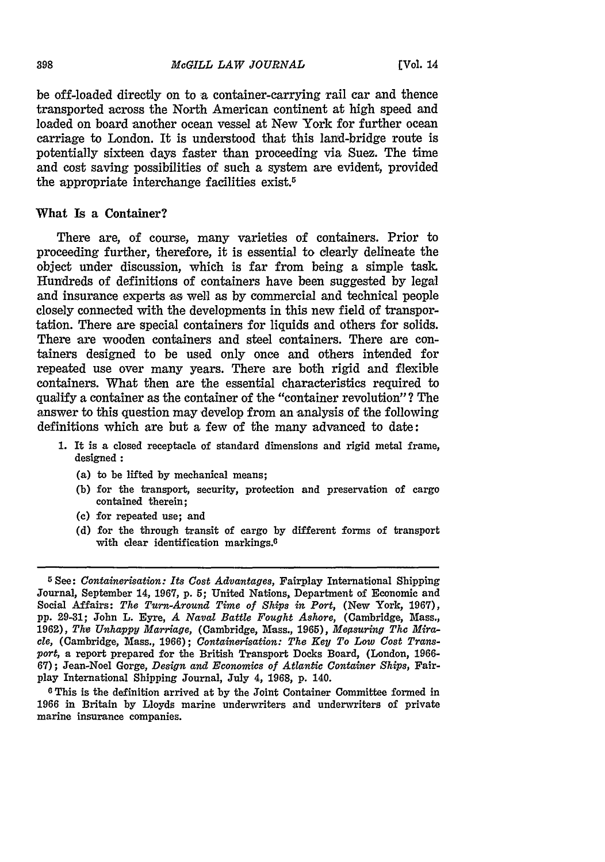be off-loaded directly on to a container-carrying rail car and thence transported across the North American continent at high speed and loaded on board another ocean vessel at New York for further ocean carriage to London. It is understood that this land-bridge route is potentially sixteen days faster than proceeding via Suez. The time and cost saving possibilities of such a system are evident, provided the appropriate interchange facilities exist.<sup>5</sup>

#### What Is a Container?

There are, of course, many varieties of containers. Prior to proceeding further, therefore, it is essential to clearly delineate the object under discussion, which is far from being a simple task. Hundreds of definitions of containers have been suggested by legal and insurance experts as well as by commercial and technical people closely connected with the developments in this new field of transportation. There are special containers for liquids and others for solids. There are wooden containers and steel containers. There are containers designed to be used only once and others intended for repeated use over many years. There are both rigid and flexible containers. What then are the essential characteristics required to qualify a container as the container of the "container revolution"? The answer to this question may develop from an analysis of the following definitions which are but a few of the many advanced to date:

- **1.** It is a closed receptacle of standard dimensions and rigid metal frame, designed **:**
	- (a) to be lifted by mechanical means;
	- (b) for the transport, security, protection and preservation of cargo contained therein;
	- **(c)** for repeated use; and
	- **(d)** for the through transit of cargo by different forms of transport with clear identification markings.<sup>6</sup>

**0** This is the definition arrived at by the Joint Container Committee formed in 1966 in Britain by Lloyds marine underwriters and underwriters of private marine insurance companies.

**<sup>5</sup>** See: *Containerisation: Its Cost Advantages,* Fairplay International Shipping Journal, September 14, 1967, p. **5;** United Nations, Department of Economic and Social Affairs: *The Turn-Around Time of Ships in Port,* (New York, 1967), pp. 29-31; John L. Eyre, *A Naval Battle Fought Ashore,* (Cambridge, Mass., 1962), *Thu Unhappy Marriage,* (Cambridge, Mass., 1965), *Megsuring The Miracle,* (Cambridge, Mass., **1966);** *Containerisation: The Key To Low Cost Transport,* a report prepared for the British Transport Docks Board, (London, 1966- **67);** Jean-Noel Gorge, *Design and Economics of Atlantic Container Ships,* Fairplay International Shipping Journal, July 4, 1968, p. 140.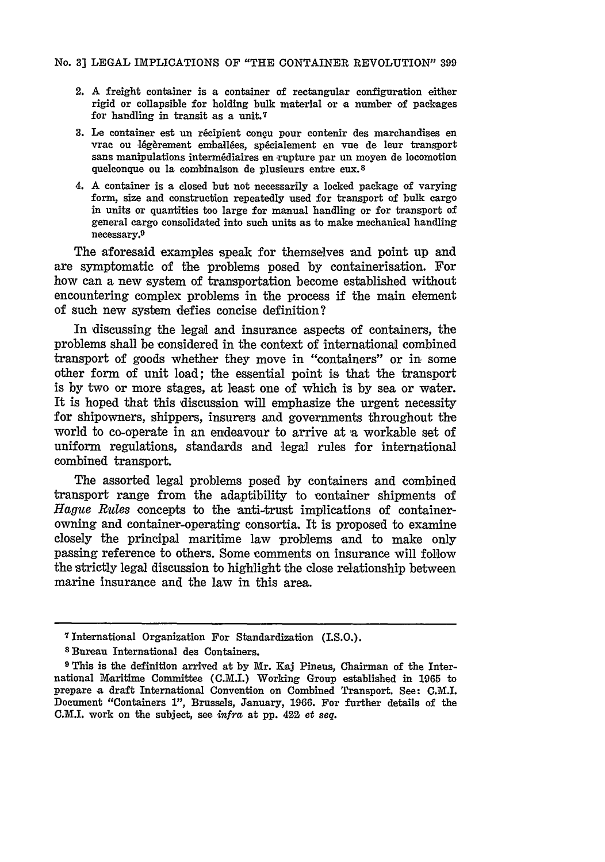- 2. A freight container is a container of rectangular configuration either rigid or collapsible for holding bulk material or a number of packages for handling in transit as a unit.7
- 3. Le container est un récipient conçu pour contenir des marchandises en vrac ou légèrement emballées, spécialement en vue de leur transport sans manipulations intermédiaires en rupture par un moyen de locomotion quelconque **ou** la combinaison de plusieurs entre eux. <sup>8</sup>
- 4. A container is a closed but not necessarily a locked package of varying form, size and construction repeatedly used for transport of bulk cargo in units or quantities too large for manual handling or for transport of general cargo consolidated into such units as to make mechanical handling necessary.<sup>9</sup>

The aforesaid examples speak for themselves **and** point up and are symptomatic of the problems posed **by** containerisation. For how can a new system of transportation become established without encountering complex problems in the process if the main element of such new system defies concise definition?

In discussing the legal and insurance aspects of containers, the problems shall be considered in the context of international combined transport of goods whether they move in "containers" or in some other form of unit load; the essential point is that the transport is by two or more stages, at least one of which is by sea or water. It is hoped that this discussion will emphasize the urgent necessity for shipowners, shippers, insurers and governments throughout the world to co-operate in an endeavour to arrive at a workable set of uniform regulations, standards and legal rules for international combined transport.

The assorted legal problems posed by containers and combined transport range from the adaptibility to container shipments of *Hague Rules* concepts to the anti-trust implications of containerowning and container-operating consortia. It is proposed to examine closely the principal maritime law problems and to make only passing reference to others. Some comments on insurance will follow the strictly legal discussion to highlight the close relationship between marine insurance and the law in this area.

<sup>7</sup> International Organization For Standardization (I.S.O.).

**<sup>s</sup>**Bureau International des Containers.

**<sup>9</sup>** This is the definition arrived at by Mr. **Kaj** Pineus, Chairman of the International Maritime Committee (C.M.I.) Working Group established in **1965** to prepare a draft International Convention on Combined Transport. See: C.M.I. Document "Containers **1",** Brussels, January, **1966.** For further details of the C.M.I. work on the subject, see *infra* at **pp. 422** *et seq.*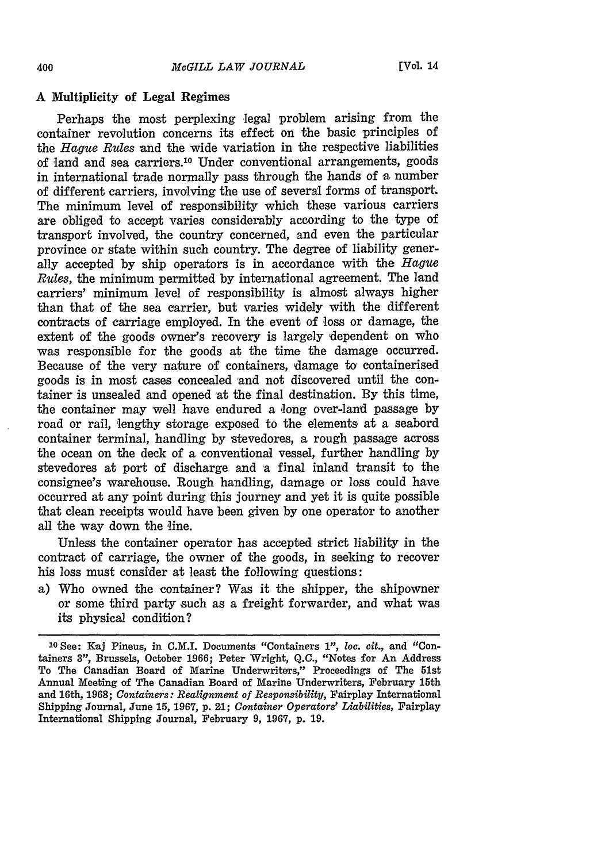#### **A** Multiplicity of Legal Regimes

Perhaps the most perplexing legal problem arising from the container revolution concerns its effect on the basic principles of the *Hague Rules* and the wide variation in the respective liabilities of land and sea carriers.10 Under conventional arrangements, goods in international trade normally pass through the hands of a number of different carriers, involving the use of several forms of transport. The minimum level of responsibility which these various carriers are obliged to accept varies considerably according to the type of transport involved, the country concerned, and even the particular province or state within such country. The degree of liability generally accepted by ship operators is in accordance with the *Hague Rules,* the minimum permitted by international agreement. The land carriers' minimum level of responsibility is almost always higher than that of the sea carrier, but varies widely with the different contracts of carriage employed. In the event of loss or damage, the extent of the goods owner's recovery is largely dependent on who was responsible for the goods at the time the damage occurred. Because of the very nature of containers, damage to containerised goods is in most cases concealed and not discovered until the container is unsealed and opened at the final destination. By this time, the container may well have endured a long over-land passage by road or rail, lengthy storage exposed to the elements at a seabord container terminal, handling by 'stevedores, a rough passage across the ocean on the deck of a conventional vessel, further handling by stevedores at port of discharge and a final inland transit to the consignee's warehouse. Rough handling, damage or loss could have occurred at any point during this journey and yet it is quite possible that clean receipts would have been given by one operator to another all the way down the line.

Unless the container operator has accepted strict liability in the contract of carriage, the owner of the goods, in seeking to recover his loss must consider at least the following questions:

a) Who owned the container? Was it the shipper, the shipowner or some third party such as a freight forwarder, and what was its physical condition?

400

**<sup>10</sup>** See: Kaj Pineus, in C.M.I. Documents "Containers **1",** *loo. cit.,* and "Containers 8', Brussels, October 1966; Peter Wright, Q.C., "Notes for An Address To The Canadian Board of Marine Underwriters," Proceedings of The 51st Annual Meeting of The Canadian Board of Marine Underwriters, February 15th and 16th, 1968; *Containers: Realignment of Responsibility,* Fairplay International Shipping Journal, June 15, 1967, p. *21; Container Operators' Liabilities,* Fairplay International Shipping Journal, February 9, 1967, p. 19.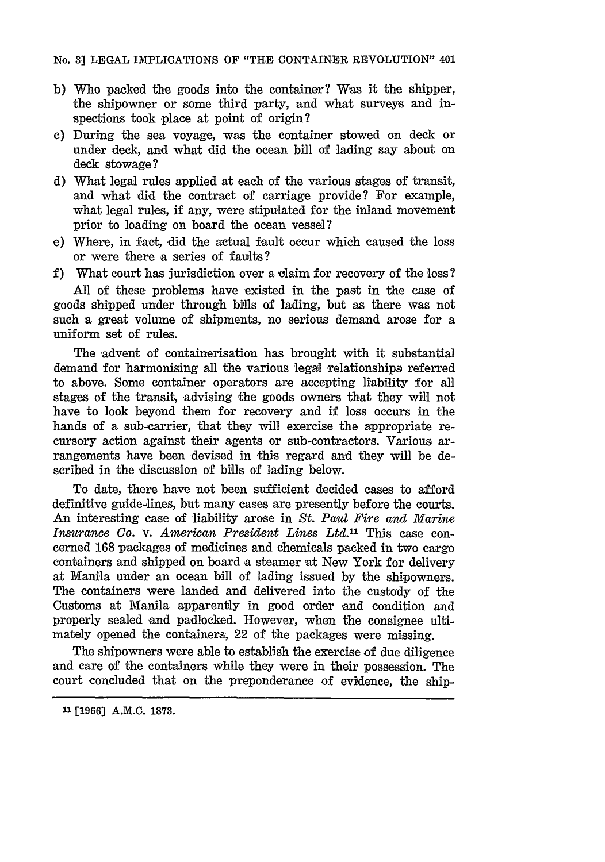- **b)** Who packed the goods into the container? Was it the shipper, the shipowner or some third party, and what surveys and inspections took place at point of origin?
- c) During the sea voyage, was the container stowed on deck or under deck, and what did the ocean bill of lading say about on deck stowage?
- d) What legal rules applied at each of the various stages of transit, and what did the contract of carriage provide? For example, what legal rules, if any, were stipulated for the inland movement prior to loading on board the ocean vessel?
- e) Where, in fact, did the actual fault occur which caused the loss or were there a series of faults **?**
- f) What court has jurisdiction over a claim for recovery of the loss?

All of these problems have existed in the past in the case of goods shipped under through bills of lading, but as there was not such **a** great volume of shipments, no serious demand arose for a uniform set of rules.

The advent of containerisation has brought with it substantial demand for harmonising all the various legal relationships referred to above. Some container operators are accepting liability for all stages of the transit, advising the goods owners that they will not have to look beyond them for recovery and if loss occurs in the hands of a sub-carrier, that they will exercise the appropriate recursory action against their agents or sub-contractors. Various arrangements have been devised in this regard and they will be described in the discussion of bills of lading below.

To date, there have not been sufficient decided cases to afford definitive guide-lines, but many cases are presently before the courts. An interesting case of liability arose in *St. Paul Fire and Marine Insurance Co.* v. *American President Lines Ltd."* This case concerned **168** packages of medicines and chemicals packed in two cargo containers and shipped on board a steamer at New York for delivery at Manila under an ocean bill of lading issued by the shipowners. The containers were landed and delivered into the custody of the Customs at Manila apparently in good order and condition and properly sealed and padlocked. However, when the consignee ultimately opened the containers, 22 of the packages were missing.

The shipowners were able to establish the exercise of due diligence and care of the containers while they were in their possession. The court concluded that on the preponderance of evidence, the ship-

**<sup>11</sup> [1966] A.M.C. 1873.**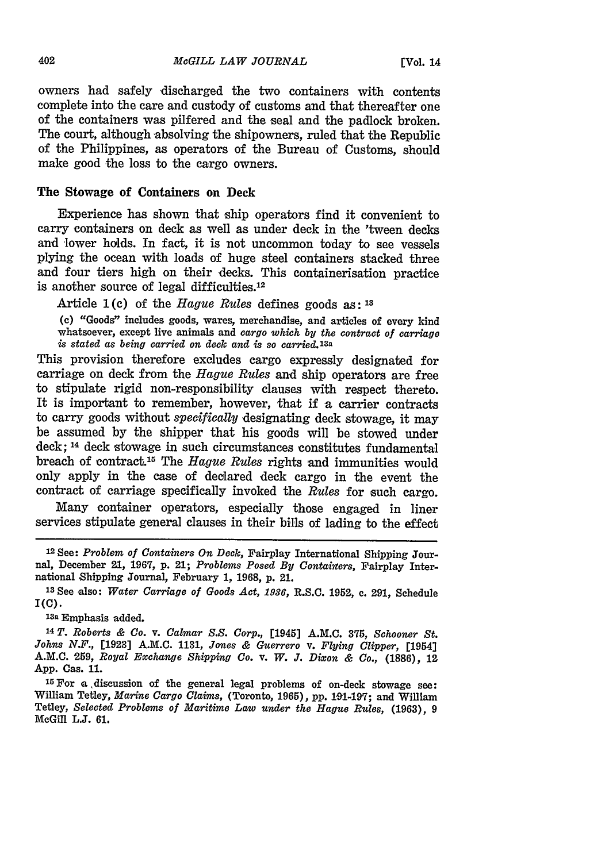owners had safely discharged the two containers with contents complete into the care and custody of customs and that thereafter one of the containers was pilfered and the seal and the padlock broken. The court, although absolving the shipowners, ruled that the Republic of the Philippines, as operators of the Bureau of Customs, should make good the loss to the cargo owners.

### The Stowage of Containers on Deck

Experience has shown that ship operators find it convenient to carry containers on deck as well as under deck in the 'tween decks and lower holds. In fact, it is not uncommon today to see vessels plying the ocean with loads of huge steel containers stacked three and four tiers high on their decks. This containerisation practice is another source of legal difficulties.12

Article **1(c)** of the *Hague Rules* defines goods as: **13**

**(c)** "Goods" includes goods, wares, merchandise, and articles of every kind whatsoever, except live animals and *cargo which by the contract of carriage is stated as being carried on deck and is so carried.13a*

This provision therefore excludes cargo expressly designated for carriage on deck from the *Hague Rules* and ship operators are free to stipulate rigid non-responsibility clauses with respect thereto. It is important to remember, however, that if a carrier contracts to carry goods without *specifically* designating deck stowage, it may be assumed by the shipper that his goods will be stowed under deck; 14 deck stowage in such circumstances constitutes fundamental breach of contract.<sup>15</sup> The *Hague Rules* rights and immunities would only apply in the case of declared deck cargo in the event the contract of carriage specifically invoked the *Rules* for such cargo.

Many container operators, especially those engaged in liner services stipulate general clauses in their bills of lading to the effect

1sa Emphasis added.

**<sup>14</sup>***T. Roberts & Co. v. Calmar S.S. Corp.,* [1945] **A.M.C. 375,** *Schooner St. Johns N.F.,* [1923] A.M.C. **1131,** *Jones & Guerrero v. Flying Clipper,* [1954] A.M.C. 259, *Royal Exchange Shipping Co. v. W. J. Dixon & Co.,* **(1886),** <sup>12</sup> App. Cas. 11.

**1r** For a .discussion of the general legal problems of on-deck stowage see: William Tetley, *Marine Cargo Claims,* (Toronto, 1965), pp. **101-197;** and William Tetley, *Selected Problems of Maritime Law under the Hague Rules,* (1963), 9 McGill **L.J. 61.**

<sup>1</sup> <sup>2</sup> See: *Problem of Containers On Deck,* Fairplay International Shipping Journal, December 21, 1967, p. 21; *Problems Posed By Contaivers,* Fairplay International Shipping Journal, February 1, 1968, **p.** 21.

**<sup>13</sup>**See also: *Water Carriage of Goods Act,* **1936,** R.S.C. **1952,** c. 291, Schedule **I(C).**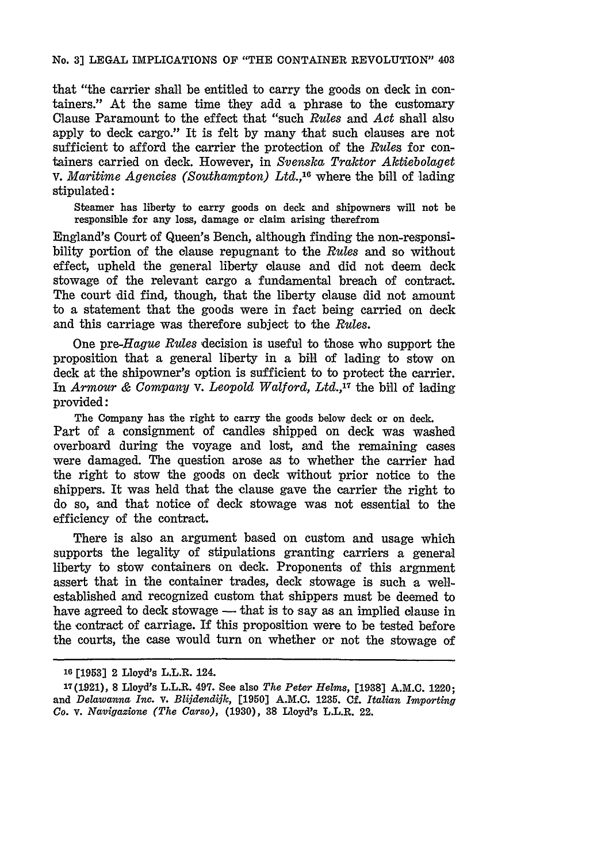#### No. **3]** LEGAL IMPLICATIONS OF "THE CONTAINER REVOLUTION" 403

that "the carrier shall be entitled to carry the goods on deck in containers." At the same time they add a phrase to the customary Clause Paramount to the effect that 'such *Rules* and *Act* shall also apply to deck cargo." It is felt by many that such clauses are not sufficient to afford the carrier the protection of the *Rules* for containers carried on deck. However, in *Svenska Traktor Aktiebolaget* V. *Maritime Agencies (Southampton) Ltd.*,<sup>16</sup> where the bill of lading stipulated:

Steamer has liberty to carry goods on deck and shipowners will not be responsible for any loss, damage or claim arising therefrom

England's Court of Queen's Bench, although finding the non-responsibility portion of the clause repugnant to the *Rules* and so without effect, upheld the general liberty clause and did not deem deck stowage of the relevant cargo a fundamental breach of contract. The court did find, though, that the liberty clause did not amount to a statement that the goods were in fact being carried on deck and this carriage was therefore subject to the *Rules.*

One *pre-Hague Rules* decision is useful to those who support the proposition that a general liberty in a bill of lading to stow on deck at the shipowner's option is sufficient to to protect the carrier. In *Armour & Company* v. *Leopold Walford, Ltd.,17* the bill of lading provided:

The Company has the right to carry the goods below deck or on deck. Part of a consignment of candles shipped on deck was washed overboard during the voyage and lost, and the remaining cases were damaged. The question arose as to whether the carrier had the right to stow the goods on deck without prior notice to the shippers. It was held that the clause gave the carrier the right to do so, and that notice of deck stowage was not essential to the efficiency of the contract.

There is also an argument based on custom and usage which supports the legality of stipulations granting carriers a general liberty to stow containers on deck. Proponents of this argument assert that in the container trades, deck stowage is such a wellestablished and recognized custom that shippers must be deemed to have agreed to deck stowage — that is to say as an implied clause in the contract of carriage. If this proposition were to be tested before the courts, the case would turn on whether or not the stowage of

**<sup>10</sup>[1953]** 2 Lloyd's L.L.R. 124.

<sup>17(1921),</sup> **8** Lloyd's L.L.R. 497. See also *The Peter Helms,* **[1938]** A.M.C. 1220; and *Delawanna Inc. v. Blijdendijk,* **[1950] A.M.C. 1235. Cf.** *Italian Importing Co. v. Navigazione (The Carso),* **(1930), 38** Lloyd's L.L.R. 22.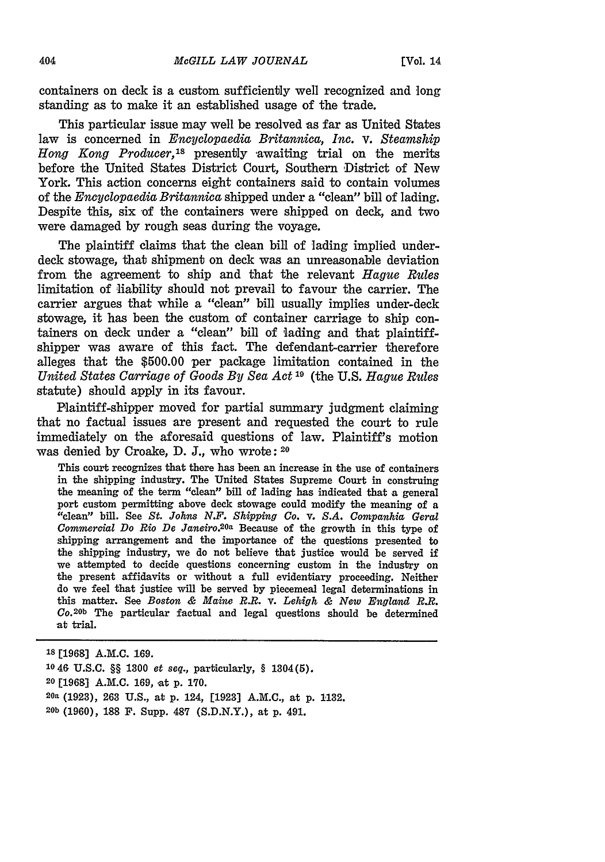containers on deck is a custom sufficiently well recognized and long standing as to make it an established usage of the trade.

This particular issue may well be resolved as far as United States law is concerned in *Encyclopaedia Britannica, Inc. v. Steamship Hong Kong Producer,'s* presently awaiting trial on the merits before the United States District Court, Southern District of New York. This action concerns eight containers said to contain volumes of the *Encyclopaedia Britannica* shipped under a "clean" bill of lading. Despite this, six of the containers were shipped on deck, and two were damaged by rough seas during the voyage.

The plaintiff claims that the clean bill of lading implied underdeck stowage, that shipment on deck was an unreasonable deviation from the agreement to ship and that the relevant *Hague Rules* limitation of liability should not prevail to favour the carrier. The carrier argues that while a "clean" bill usually implies under-deck stowage, it has been the custom of container carriage to ship containers on deck under a **"clean"** bill of lading and that plaintiffshipper was aware of this fact. The defendant-carrier therefore alleges that the **\$500.00** per package limitation contained in the *United States Carriage of Goods By Sea Act ' <sup>0</sup>*(the **U.S.** *Hague Rules* statute) should apply in its favour.

Plaintiff-shipper moved for partial summary judgment claiming that no factual issues are present and requested the court to rule immediately on the aforesaid questions of law. Plaintiff's motion was denied by Croake, D. J., who wrote: **<sup>20</sup>**

This court recognizes that there has been an increase in the use of containers in the shipping industry. The United States Supreme Court in construing the meaning of the term "clean" bill of lading has indicated that a general port custom permitting above deck stowage could modify the meaning of a "clean" bill. See *St. Johns N.F. Shipping Co. v. S.A. Companhia Geral Commercial Do Rio De Janeiro.*<sup>20a</sup> Because of the growth in this type of shipping arrangement and the importance of the questions presented to the shipping industry, we do not believe that justice would be served if we attempted to decide questions concerning custom in the industry on the present affidavits or without a full evidentiary proceeding. Neither do we feel that justice will be served **by** piecemeal legal determinations in this matter. See *Boston & Maine R.R. V. Lehigh & Now England R.R.* **Co.20b** The particular factual and legal questions should be determined at trial.

**18 [1968]** A.M.C. 169. **1946** U.S.C. §§ 1300 *et seq.,* particularly, § 1304(5). <sup>20</sup> [1968] A.M.C. 169, at p. 170. **20a** (1923), 263 U.S., at p. 124, [1923] A.M.C., at p. 1132. **20b** (1960), **188** F. Supp. 487 (S.D.N.Y.), at p. 491.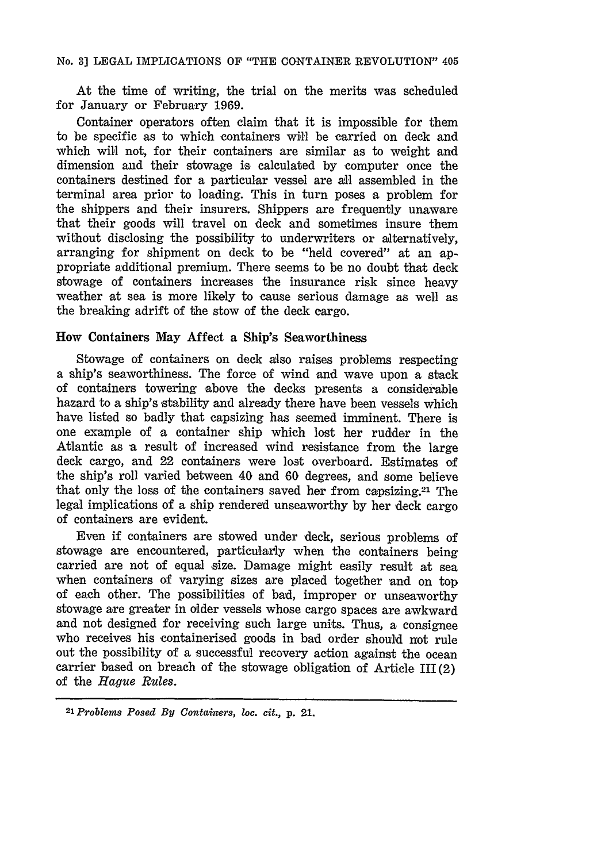### No. **3] LEGAL** IMPLICATIONS OF "THE CONTAINER REVOLUTION" 405

At the time of writing, the trial on the merits was scheduled for January or February 1969.

Container operators often claim that it is impossible for them to be specific as to which containers will be carried on deck and which will not, for their containers are similar as to weight and dimension and their stowage is calculated by computer once the containers destined for a particular vessel are all assembled in the terminal area prior to loading. This in turn poses a problem for the shippers and their insurers. Shippers are frequently unaware that their goods will travel on deck and sometimes insure them without disclosing the possibility to underwriters or alternatively, arranging for shipment on deck to be "held covered" at an appropriate additional premium. There seems to be no doubt that deck stowage of containers increases the insurance risk since heavy weather at sea is more likely to cause serious damage as well as the breaking adrift of the stow of the deck cargo.

## How Containers May Affect a Ship's Seaworthiness

Stowage of containers on deck also raises problems respecting a ship's seaworthiness. The force of wind and wave upon a stack of containers towering above the decks presents a considerable hazard to a ship's stability and already there have been vessels which have listed so badly that capsizing has seemed imminent. There is one example of a container ship which lost her rudder in the Atlantic as a result of increased wind resistance from the large deck cargo, and 22 containers were lost overboard. Estimates of the ship's roll varied between 40 and 60 degrees, and some believe that only the loss of the containers saved her from capsizing.21 The legal implications of a ship rendered unseaworthy by her deck cargo of containers are evident.

Even if containers are stowed under deck, serious problems of stowage are encountered, particularly when the containers being carried are not of equal size. Damage might easily result at sea when containers of varying sizes are placed together and on top of each other. The possibilities of bad, improper or unseaworthy stowage are greater in older vessels whose cargo spaces are awkward and not designed for receiving such large units. Thus, a consignee who receives his containerised goods in bad order should not rule out the possibility of a successful recovery action against the ocean carrier based on breach of the stowage obligation of Article III (2) of the *Hague Rules.*

*<sup>21</sup> Problems Posed By Containers, loc. cit.,* **p.** 21.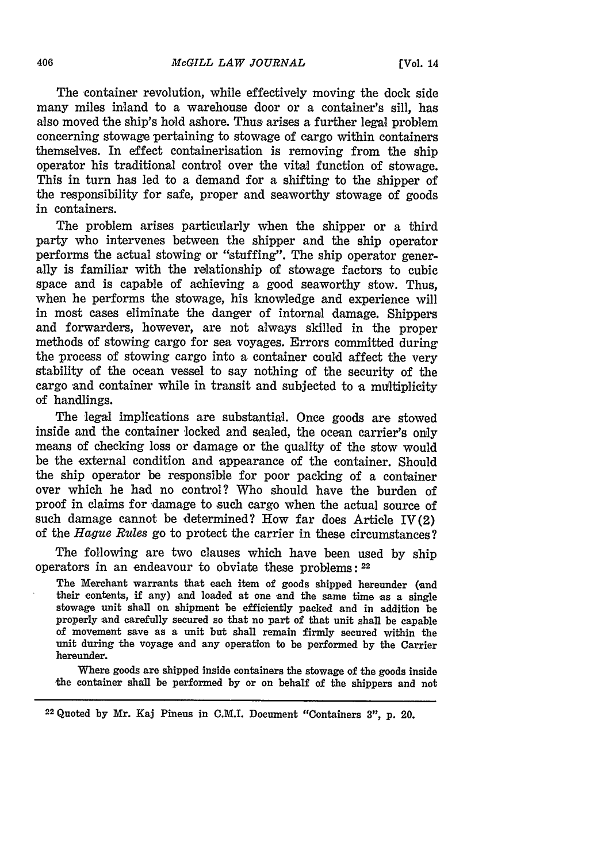The container revolution, while effectively moving the dock side many miles inland to a warehouse door or a container's sill, has also moved the ship's hold ashore. Thus arises a further legal problem concerning stowage pertaining to stowage of cargo within containers themselves. In effect containerisation is removing from the ship operator his traditional control over the vital function of stowage. This in turn has led to a demand for a shifting to the shipper of the responsibility for safe, proper and seaworthy stowage of goods in containers.

The problem arises particularly when the shipper or a third party who intervenes between the shipper and the ship operator performs the actual stowing or "stuffing". The ship operator generally is familiar with the relationship of stowage factors to cubic space and is capable of achieving a good seaworthy stow. Thus, when he performs the stowage, his knowledge and experience will in most cases eliminate the danger of internal damage. Shippers and forwarders, however, are not always skilled in the proper methods of stowing cargo for sea voyages. Errors committed during the process of stowing cargo into a container could affect the very stability of the ocean vessel to say nothing of the security of the cargo and container while in transit and subjected to a multiplicity of handlings.

The legal implications are substantial. Once goods are stowed inside and the container locked and sealed, the ocean carrier's only means of checking loss or damage or the quality of the stow would be the external condition and appearance of the container. Should the ship operator be responsible for poor packing of a container over which he had no control? Who should have the burden of proof in claims for damage to such cargo when the actual source of such damage cannot be determined? How far does Article IV(2) of the *Hague Rules* go to protect the carrier in these circumstances?

The following are two clauses which have been used **by** ship operators in an endeavour to obviate these problems: **<sup>22</sup>**

The Merchant warrants that each item of goods shipped hereunder (and their contents, if any) and loaded at one and the same time as a single stowage unit shall on shipment be efficiently packed and in addition be properly and carefully secured so that no part of that unit shall be capable of movement save as a unit but shall remain firmly secured within the unit during the voyage and any operation to be performed by the Carrier hereunder.

Where goods are shipped inside containers the stowage of the goods inside the container shall be performed **by** or on behalf of the shippers and not

<sup>22</sup>Quoted **by** Mr. Kaj Pineus in C.M.I. Document "Containers **3", p.** 20.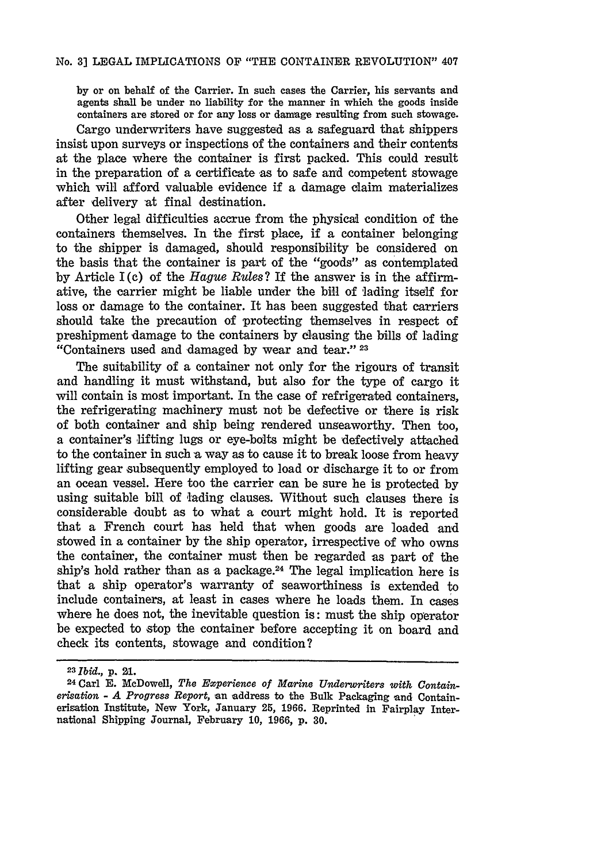by or on behalf of the Carrier. In such cases the Carrier, his servants and agents shall be under no liability for the manner in which the goods inside containers are stored or for any loss or damuge resulting from such stowage.

Cargo underwriters have suggested as a safeguard that shippers insist upon surveys or inspections of the containers and their contents at the place where the container is first packed. This could result in the preparation of a certificate as to safe and competent stowage which will afford valuable evidence if a damage claim materializes after delivery 'at final destination.

Other legal difficulties accrue from the physical condition of the containers themselves. In the first place, if a container belonging to the shipper is damaged, should responsibility be considered on the basis that the container is part of the "goods" as contemplated by Article I (c) of the *Hague Rules?* If the answer is in the affirmative, the carrier might be liable under the bill of 'lading itself for loss or damage to the container. It has been suggested that carriers should take the precaution of protecting themselves in respect of preshipment damage to the containers by clausing the bills of lading "Containers used and damaged by wear and tear." **<sup>23</sup>**

The suitability of a container not only for the rigours of transit and handling it must withstand, but also for the type of cargo it will contain is most important. In the case of refrigerated containers, the refrigerating machinery must not be defective or there is risk of both container and ship being rendered unseaworthy. Then too, a container's lifting lugs or eye-bolts might be defectively attached to the container in such a way as to cause it to break loose from heavy lifting gear subsequently employed to load or discharge it to or from an ocean vessel. Here too the carrier can be sure he is protected by using suitable bill of lading clauses. Without such clauses there is considerable doubt as to what a court might **hold.** It is reported that a French court has held that when goods **are** loaded and stowed in a container **by** the ship operator, irrespective of who **owns** the container, the container must then be regarded as **part** of the ship's hold rather than as a package.<sup>24</sup> The legal implication here is that a ship operator's warranty of seaworthiness is extended to include containers, at least in cases where he loads them. In cases where he does not, the inevitable question is: must the ship operator be expected to stop the container before accepting it on board and check its contents, stowage and condition?

**<sup>23</sup>***Ibid.,* **p.** 21.

**<sup>24</sup>Carl E.** McDowell, *The Experience of Marine Underwriters with Containerisation* **-** *A Progress Report,* an address to the Bulk Packaging and Containerisation Institute, New York, January **25,** 1966. Reprinted in Fairplay International Shipping Journal, February 10, 1966, p. **30.**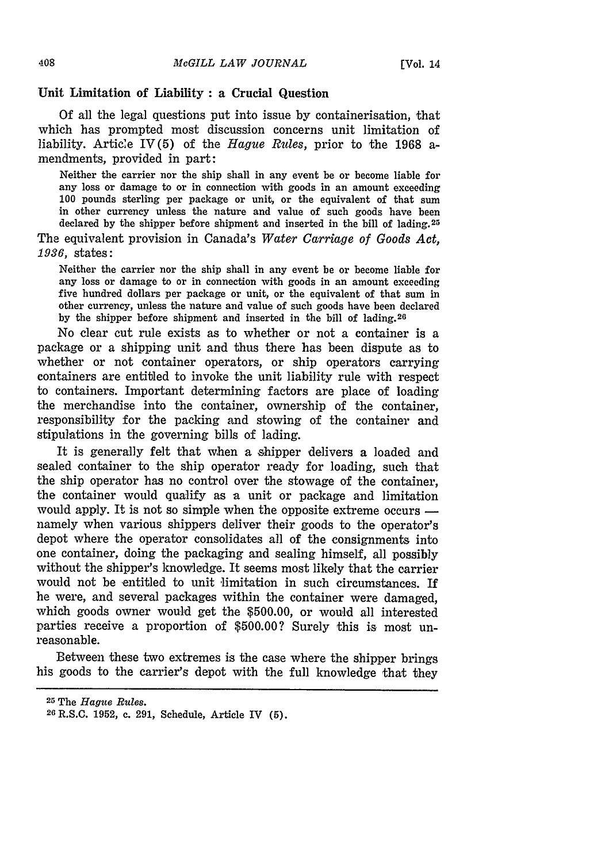### **Unit Limitation of Liability : a Crucial Question**

Of all the legal questions put into issue by containerisation, that which has prompted most discussion concerns unit limitation of liability. Article IV(5) of the *Hague Rules,* prior to the 1968 amendments, provided in part:

Neither the carrier nor the ship shall in any event be or become liable for any loss or damage to or in connection with goods in an amount exceeding 100 pounds sterling per package or unit, or the equivalent of that sum in other currency unless the nature and value of such goods have been declared by the shipper before shipment and inserted in the bill of lading.25

The equivalent provision in Canada's *Water Carriage of Goods Act, 1936,* states:

Neither the carrier nor the ship shall in any event be or become liable for any loss or damage to or in connection with goods in an amount exceeding five hundred dollars per package or unit, or the equivalent of that sum in other currency, unless the nature and value of such goods have been declared by the shipper before shipment and inserted in the bill of lading.<sup>20</sup>

No clear cut rule exists as to whether or not a container is a package or a shipping unit and thus there has been dispute as to whether or not container operators, or ship operators carrying containers are entitled to invoke the unit liability rule with respect to containers. Important determining factors are place of loading the merchandise into the container, ownership of the container, responsibility for the packing and stowing of the container and stipulations in the governing bills of lading.

It is generally felt that when a shipper delivers a loaded and sealed container to the ship operator ready for loading, such that the ship operator has no control over the stowage of the container, the container would qualify as a unit or package and limitation would apply. It is not so simple when the opposite extreme occurs  $$ namely when various shippers deliver their goods to the operator's depot where the operator consolidates all of the consignments into one container, doing the packaging and sealing himself, all possibly without the shipper's knowledge. It seems most likely that the carrier would not be entitled to unit limitation in such circumstances. If he were, and several packages within the container were damaged, which goods owner would get the \$500.00, or would all interested parties receive a proportion of \$500.00? Surely this is most unreasonable.

Between these two extremes is the case where the shipper brings his goods to the carrier's depot with the full knowledge that they

**<sup>25</sup>**The *Hague Rules.*

**<sup>26</sup>**R.S.C. **1952,** c. 291, Schedule, Article IV (5).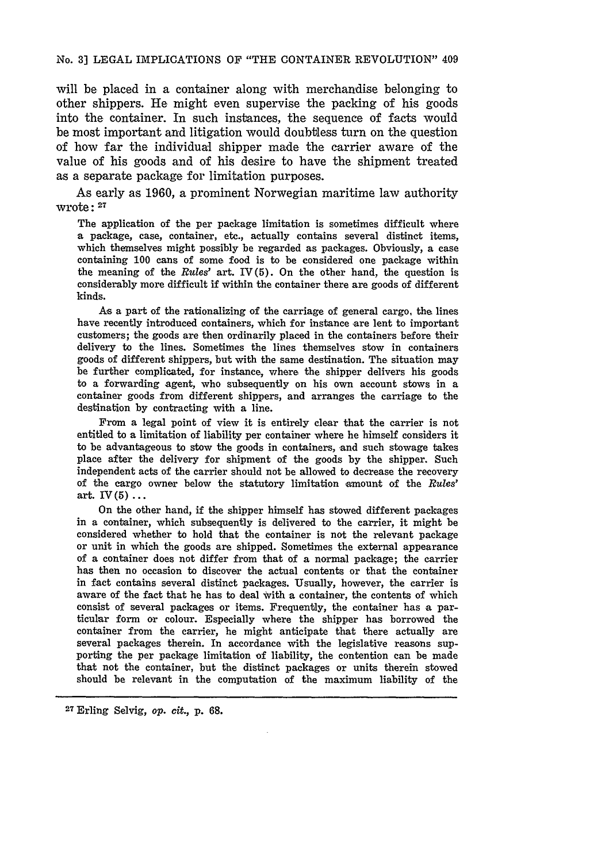#### No. 3] LEGAL IMPLICATIONS OF "THE CONTAINER REVOLUTION" 409

will be placed in a container along with merchandise belonging to other shippers. He might even supervise the packing of his goods into the container. In such instances, the sequence of facts would be most important and litigation would doubtless turn on the question of how far the individual shipper made the carrier aware of the value of his goods and of his desire to have the shipment treated as a separate package for limitation purposes.

As early as 1960, a prominent Norwegian maritime law authority wrote: **<sup>27</sup>**

The application of the per package limitation is sometimes difficult where a package, case, container, etc., actually contains several distinct items, which themselves might possibly be regarded as packages. Obviously, a case containing **100** cans of some food is to be considered one package within the meaning of the *Rules'* art. IV(5). On the other hand, the question is considerably more difficult if within the container there are goods of different kinds.

As a part of the rationalizing of the carriage of general cargo, the lines have recently introduced containers, which for instance are lent to important customers; the goods are then ordinarily placed in the containers before their delivery to the lines. Sometimes the lines themselves stow in containers goods of different shippers, but with the same destination. The situation may be further complicated, for instance, where the shipper delivers his goods to a forwarding agent, who subsequently on his own account stows in a container goods from different shippers, and arranges the carriage to the destination **by** contracting with a line.

From a legal point of view it is entirely clear that the carrier is not entitled to a limitation of liability per container where he himself considers it to be advantageous to stow the goods in containers, and such stowage takes place after the delivery for shipment of the goods **by** the shipper. Such independent acts of the carrier should not be allowed to decrease the recovery of the cargo owner below the statutory limitation amount **of** the *Rules'* art.  $IV(5)$  ...

On the other hand, if the shipper himself has stowed different packages in a container, which subsequently is delivered to the carrier, it might be considered whether to hold that the container is not the relevant package or unit in which the goods are shipped. Sometimes the external appearance of a container does not differ from that of a normal package; the carrier has then no occasion to discover the actual contents or that the container in fact contains several distinct packages. Usually, however, the carrier is aware of the fact that he has to deal With a container, the contents of which consist of several packages or items. Frequently, the container has a particular form or colour. Especially where the shipper has borrowed the container from the carrier, he might anticipate that there actually are several packages therein. In accordance with the legislative reasons supporting the per package limitation of liability, the contention can be made that not the container, but the distinct packages or units therein stowed should be relevant in the computation of the maximum liability of the

27 Erling Selvig, op. *cit.,* **p. 68.**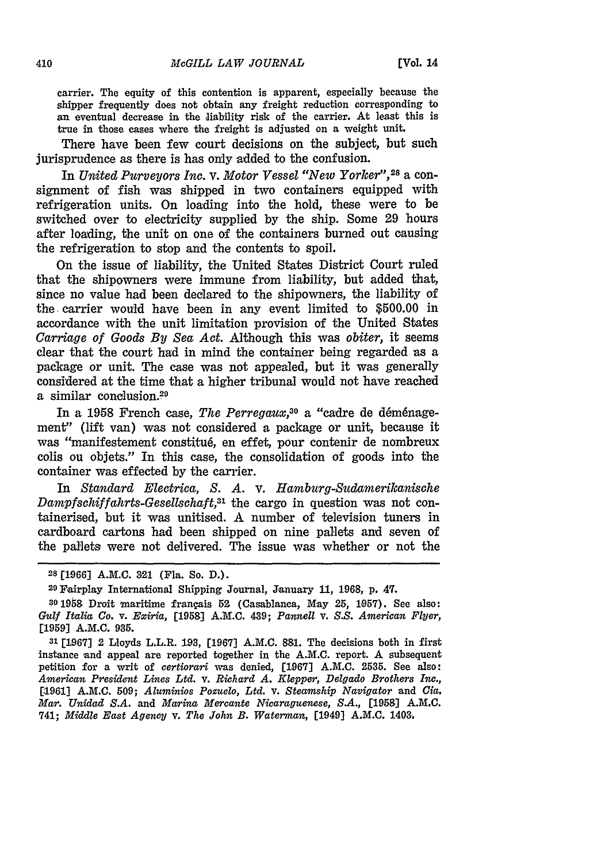carrier. The equity of this contention is apparent, especially because the shipper frequently does not obtain any freight reduction corresponding to an eventual decrease in the liability risk of the carrier. At least this is true in those cases where the freight is adjusted on a weight unit.

There have been few court decisions on the subject, but such jurisprudence as there is has only added to the confusion.

In *United Purveyors Inc.* v. *Motor Vessel "New Yorlker", <sup>28</sup>*a consignment of fish was shipped in two containers equipped with refrigeration units. On loading into the hold, these were to be switched over to electricity supplied by the ship. Some 29 hours after loading, the unit on one of the containers burned out causing the refrigeration to stop and the contents to spoil.

On the issue of liability, the United States District Court ruled that the shipowners were immune from liability, but added that, since no value had been declared to the shipowners, the liability of the carrier would have been in any event limited to \$500.00 in accordance with the unit limitation provision of the United States *Carriage of Goods By Sea Act.* Although this was *obiter,* it seems clear that the court had in mind the container being regarded as a package or unit. The case was not appealed, but it was generally considered at the time that a higher tribunal would not have reached a similar conclusion.<sup>29</sup>

In a 1958 French case, *The Perregaux*,<sup>30</sup> a "cadre de déménagement" (lift van) was not considered a package or unit, because it was "manifestement constitu6, en effet, pour contenir de nombreux colis ou objets." In this case, the consolidation of goods into the container was effected by the carrier.

In *Standard Electrica, S. A. v. Hamburg-Sudamerikanische Dampfsehiffahrts-Gesellsehaft,31* the cargo in question was not containerised, but it was unitised. A number of television tuners in cardboard cartons had been shipped on nine pallets and seven of the pallets were not delivered. The issue was whether or not the

**<sup>28 [1966]</sup> A.M.C. 321** (Fla. So. **D.).**

<sup>29</sup> Fairplay International Shipping Journal, January **11, 1968, p.** 47.

<sup>301958</sup> Droit maritime frangais **52** (Casablanca, **May** 25, **1,957).** See also: *Gulf Italia Co. v. Exiria,* **[1958] A.M.C.** 439; *Pannell* **v.** *S.S. American Flyer,* [1959] A.M.C. **935.**

**<sup>31</sup>**[1967] 2 Lloyds L.L.R. 193, [1967] A.M.C. **881.** The decisions both in first instance and appeal are reported together in the A.M.C. report. A subsequent petition for a writ of *certiorari* was denied, **[1.967]** A.M.C. 2535. See also: *American President Lines Ltd. v. Richard A. Klepper, Delgado Brothers Inc.,* [.1961] A.M.C. 509; *Aluminios Pozuelo, Ltd. v. Steamship Navigator* and *Cia. Mar. Unidad S.A.* and *Marina Mercante Nicaraguenese, S.A.,* **[1958]** A.M.C. 741; *Middle East Agency v. The John B. Waterman,* [1049] A.M.C. 1403.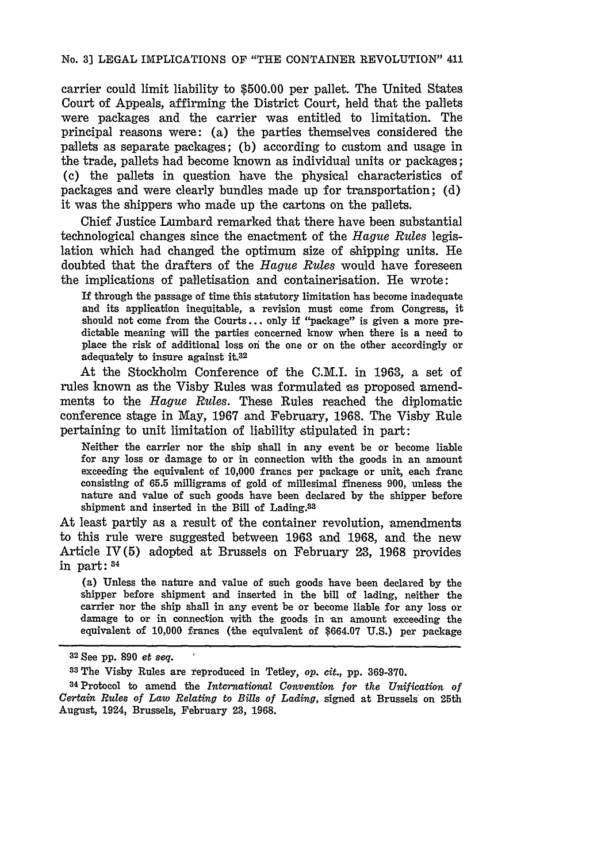carrier could limit liability to \$500.00 per pallet. The United States Court of Appeals, affirming the District Court, held that the pallets were packages and the carrier was entitled to limitation. The principal reasons were: (a) the parties themselves considered the pallets as separate packages; (b) according to custom and usage in the trade, pallets had become known as individual units or packages; (c) the pallets in question have the physical characteristics of packages and were clearly bundles made up for transportation; (d) it was the shippers who made up the cartons on the pallets.

Chief Justice Lumbard remarked that there have been substantial technological changes since the enactment of the *Hague Rules* legislation which had changed the optimum size of shipping units. He doubted that the drafters of the *Hague Rules* would have foreseen the implications of palletisation and containerisation. He wrote:

If through the passage of time this statutory limitation has become inadequate and its application inequitable, a revision must come from Congress, it should not come from the Courts... only if "package" is given a more predictable meaning will the parties concerned know when there is a need to place the risk of additional loss oni the one or on the other accordingly or adequately to insure against **it.32**

At the Stockholm Conference of the C.M.I. in **1963,** a set of rules known as the Visby Rules was formulated as proposed amendments to the *Hague Rules.* These Rules reached the diplomatic conference stage in May, 1967 and February, 1968. The Visby Rule pertaining to unit limitation of liability stipulated in part:

Neither the carrier nor the ship shall in any event be or become liable for any loss or damage to or in connection with the goods in an amount exceeding the equivalent of 10,000 francs per package or unit, each franc consisting of 65.5 milligrams of gold of millesimal fineness 900, unless the nature and value of such goods have been declared by the shipper before shipment and inserted in the Bill of Lading.<sup>33</sup>

At least partly as a result of the container revolution, amendments to this rule were suggested between 1963 and 1968, and the new Article IV(5) adopted at Brussels on February 23, 1968 provides in part: 34

(a) Unless the nature and value of such goods have been declared **by** the shipper before shipment and inserted in the bill of lading, neither the carrier nor the ship shall in any event be or become liable for any loss or damage to or in connection with the goods in an amount exceeding the equivalent of **10,000** francs (the equivalent of **\$664.07 U.S.)** per package

**<sup>32</sup>**See **pp. 890** *et seq.*

**<sup>83</sup> The** Visby Rules are reproduced in Tetley, *op. cit.,* **pp. 369-370.**

<sup>34</sup>Protocol to amend the *International Convention for the Unification of Certain Rules of Law Relating to Bills of Lading,* signed at Brussels on 25th August, 1924, Brussels, February 23, 1968.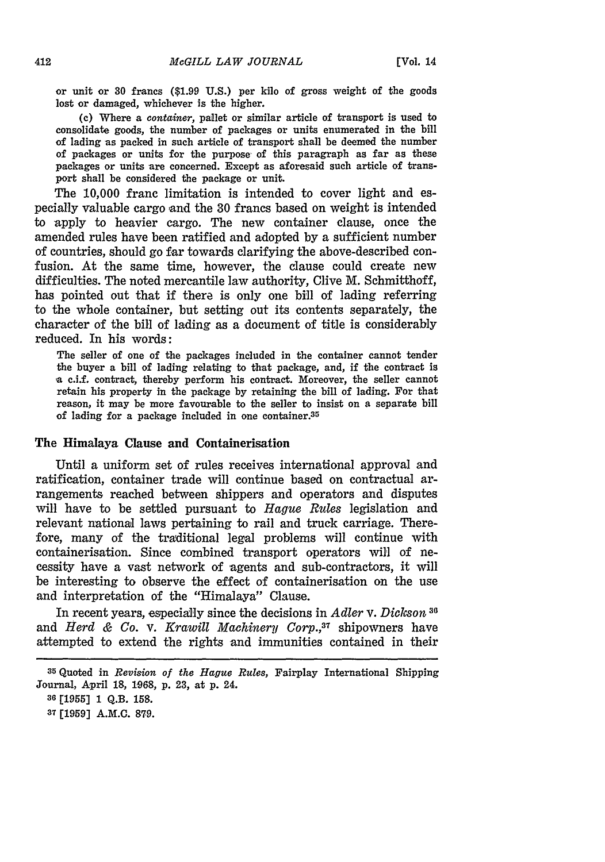or unit or **30** francs (\$1.99 U.S.) per kilo of gross weight of the goods lost or damaged, whichever is the higher.

**(c)** Where a *container,* pallet or similar article of transport is used to consolidate goods, the number of packages or units enumerated in the bill of lading as packed in such article of transport shall be deemed the number of packages or units for the purpose, of this paragraph as far as these packages or units are concerned. Except as aforesaid such article of transport shall be considered the package or unit.

The **10,000** franc limitation is intended to cover light and especially valuable cargo and the **30** francs based on weight is intended to apply to heavier cargo. The new container clause, once the amended rules have been ratified and adopted **by** a sufficient number of countries, should go far towards clarifying the above-described confusion. At the same time, however, the clause could create new difficulties. The noted mercantile law authority, Clive M. Schmitthoff, has pointed out that if there is only one bill of lading referring to the whole container, but setting out its contents separately, the character of the bill of lading as a document of title is considerably reduced. In his words:

The seller of one of the packages included in the container cannot tender the buyer a bill of lading relating to that package, and, if the contract is -a c.i.f. contract, thereby perform his contract. Moreover, the seller cannot retain his property in the package **by** retaining the bill of lading. For that reason, it may be more favourable to the seller to insist on a separate bill of lading for a package included in one container.<sup>35</sup>

#### The Himalaya Clause and Containerisation

Until a uniform set of rules receives international approval and ratification, container trade will continue based on contractual arrangements reached between shippers and operators and disputes will have to be settled pursuant to *Hague Rules* legislation and relevant national laws pertaining to rail and truck carriage. Therefore, many of the traditional legal problems will continue with containerisation. Since combined transport operators will of necessity have a vast network of agents and sub-contractors, it will be interesting to observe the effect of containerisation on the use and interpretation of the "Himalaya" Clause.

In recent years, especially since the decisions in *Adler v. Dickson* **<sup>31</sup>** and *Herd & Co. v. Krawill Machinery Corp.,37* shipowners have attempted to extend the rights and immunities contained in their

<sup>35</sup> Quoted in *Revision of the Hague Rules,* Fairplay International Shipping Journal, April **18,** 1968, p. 23, at p. 24.

**<sup>36 [19551</sup>** 1 Q.B. **158.**

**<sup>37 [1959]</sup> A.M.C. 879.**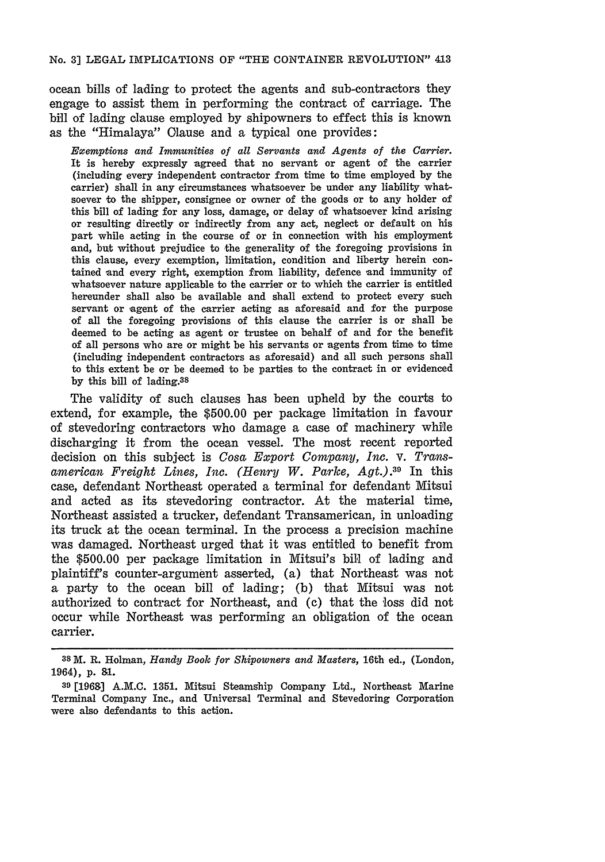ocean bills of lading to protect the agents and sub-contractors they engage to assist them in performing the contract of carriage. The bill of lading clause employed by shipowners to effect this is known as the "Himalaya" Clause and a typical one provides:

*Exemptions and Immunities of all Servants and Agents of the Carrier.* It is hereby expressly agreed that no servant or agent of the carrier (including every independent contractor from time to time employed by the carrier) shall in any circumstances whatsoever be under any liability whatsoever to the shipper, consignee or owner of the goods or to any holder of this bill of lading for any loss, damage, or delay of whatsoever kind arising or resulting directly or indirectly from any act, neglect or default on his part while acting in the course of or in connection with his employment and, but without prejudice to the generality of the foregoing provisions in this clause, every exemption, limitation, condition and liberty herein contained and every right, exemption from liability, defence and immunity of whatsoever nature applicable to the carrier or to which the carrier is entitled hereunder shall also be available and shall extend to protect every such servant or agent of the carrier acting as aforesaid and for the purpose of all the foregoing provisions of this clause the carrier is or shall be deemed to be acting as agent or trustee on behalf of and for the benefit of all persons who are or might be his servants or agents from time to time (including independent contractors as aforesaid) and all such persons shall to this extent be or be deemed to be parties to the contract in or evidenced by this bill of lading.38

The validity of such clauses has been upheld **by** the courts to extend, for example, the **\$500.00** per package limitation in favour of stevedoring contractors who damage a case of machinery while discharging it from the ocean vessel. The most recent reported decision on this subject is *Cosa Export Company, Inc.* v. *Trans*american Freight Lines, Inc. (Henry W. Parke, Agt.).<sup>39</sup> In this case, defendant Northeast operated a terminal for defendant Mitsui and acted as its stevedoring contractor. At the material time, Northeast assisted a trucker, defendant Transamerican, in unloading its truck at the ocean terminal. In the process a precision machine was damaged. Northeast urged that it was entitled to benefit from the \$500.00 per package limitation in Mitsui's bill of lading and plaintiff's counter-argument asserted, (a) that Northeast was not a party to the ocean bill of lading; (b) that Mitsui was not authorized to contract for Northeast, and (c) that the loss did not occur while Northeast was performing an obligation of the ocean carrier.

**<sup>38</sup>**M. R. Holman, *Handy Book for Shipowners and Masters,* 16th ed., (London, 1964), **p. 91.**

**<sup>39</sup>**[1968] A.M.C. 1351. Mitsui Steamship Company Ltd., Northeast Marine Terminal Company Inc., and Universal Terminal and Stevedoring Corporation were also defendants to this action.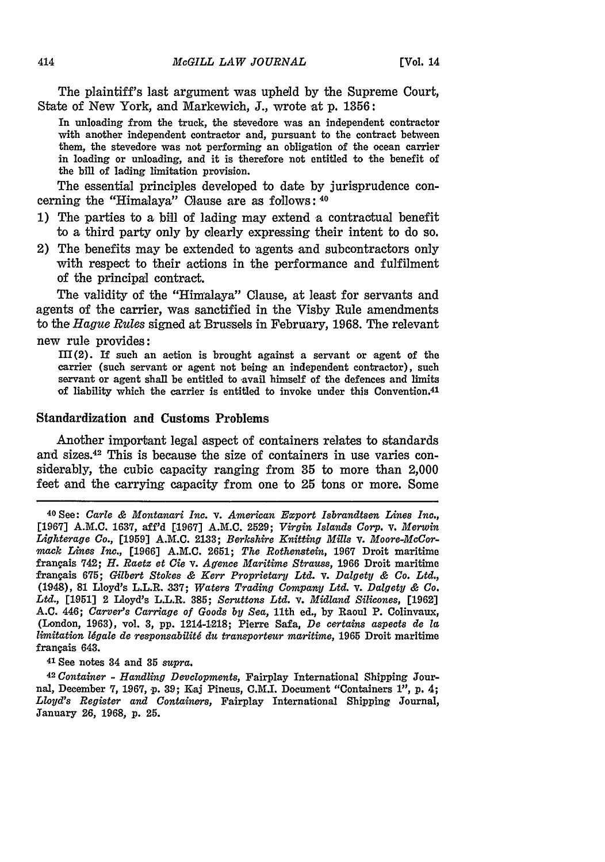The plaintiff's last argument was upheld by the Supreme Court, State of New York, and Markewich, **J.,** wrote at p. 1356:

In unloading from the truck, the stevedore was an independent contractor with another independent contractor and, pursuant to the contract between them, the stevedore was not performing an obligation of the ocean carrier in loading or unloading, and it is therefore not entitled to the benefit of the bill of lading limitation provision.

The essential principles developed to date by jurisprudence concerning the "Himalaya" Clause are as follows: **<sup>40</sup>**

- **1)** The parties to a bill of lading may extend a contractual benefit to a third party only by clearly expressing their intent to do so.
- 2) The benefits may be extended to agents and subcontractors only with respect to their actions in the performance and fulfilment of the principal contract.

The validity of the "Himalaya" Clause, at least for servants and agents of the carrier, was sanctified in the Visby Rule amendments to the *Hague Rules* signed at Brussels in February, 1968. The relevant new rule provides:

 $III(2)$ . If such an action is brought against a servant or agent of the carrier (such servant or agent not being an independent contractor), such servant or agent shall be entitled to avail himself of the defences and limits of liability which the carrier is entitled to invoke under this Convention. <sup>41</sup>

### Standardization and Customs Problems

Another important legal aspect of containers relates to standards and sizes.42 This is because the size of containers in use varies considerably, the cubic capacity ranging from **35** to more than 2,000 feet and the carrying capacity from one to 25 tons or more. Some

41 See notes 34 and **35** *supra.*

<sup>42</sup>*Container* - *Handling Developments,* Fairplay International Shipping Journal, December **7, 1967,** p. **39;** Kai Pineus, C.M.I. Document "Containers 1", **p.** 4; *Lloyd's Register and Containers,* Fairplay International Shipping Journal, January 26, 1968, **p. 25.**

<sup>40</sup> See: *Carlo & Montanari Inc.* v. *American Export Isbrandtsen Lines Inc.,* **[1967] A.M.C.** 1637, aff'd [1967] **A.M.C.** 2529; *Virgin Islands Corp.* v. *Merwin Lighterage Co.,* [1959] **A.M.C.** 2133; *Berkshire Knitting Mills v. Moore-MaCormack Lines Inc.,* [1966] A.M.C. **2651;** *The Rothenstein,* 1967 Droit maritime frangais 742; *H. Raetz et Cie v. Agence Maritime Strauss,* 1966 Droit maritime frangais **675;** *Gilbert Stokes & Kerr Proprietary Ltd. v. Dalgety & Co. Ltd.,* (1948), 81 Lloyd's L.L.R. **337;** *Waters Trading Company Ltd. v. Dalgety & Co. Ltd.,* [1.951] 2 Lloyd's L.L.R. 385; *Scruttons Ltd.* v. *Midland Silicones,* [1962] A.C. 446; *Carver's Carriage of Goods by Sea,* 11th ed., by Raoul P. Colinvaux, (London, 1963), vol. **3, pp.** 1214-1.218; Pierre Safa, *De certains aspects de la limitation lgale de responsabilitg du transporteur maritime,* 1965 Droit maritime frangais 643.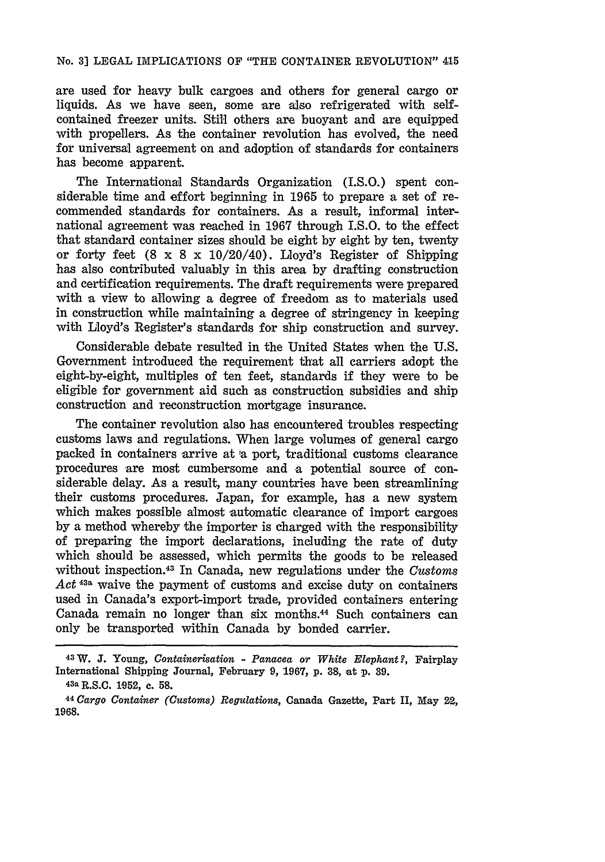### No. **3]** LEGAL IMPLICATIONS OF "THE CONTAINER REVOLUTION" 415

are used for heavy bulk cargoes and others for general cargo or liquids. As we have seen, some are also refrigerated with selfcontained freezer units. Still others are buoyant and are equipped with propellers. As the container revolution has evolved, the need for universal agreement on and adoption of standards for containers has become apparent.

The International Standards Organization (I.S.O.) spent considerable time and effort beginning in 1965 to prepare a set of recommended standards for containers. As a result, informal international agreement was reached in 1967 through I.S.O. to the effect that standard container sizes should be eight by eight by ten, twenty or forty feet  $(8 \times 8 \times 10/20/40)$ . Lloyd's Register of Shipping has also contributed valuably in this area by drafting construction and certification requirements. The draft requirements were prepared with a view to allowing a degree of freedom as to materials used in construction while maintaining a degree of stringency in keeping with Lloyd's Register's standards for ship construction and survey.

Considerable debate resulted in the United States when the U.S. Government introduced the requirement that all carriers adopt the eight-by-eight, multiples of ten feet, standards if they were to be eligible for government aid such as construction subsidies and ship construction and reconstruction mortgage insurance.

The container revolution also has encountered troubles respecting customs laws and regulations. When large volumes of general cargo packed in containers arrive at a port, traditional customs clearance procedures are most cumbersome and a potential source of considerable delay. As a result, many countries have been streamlining their customs procedures. Japan, for example, has a new system which makes possible almost automatic clearance of import cargoes by a method whereby the importer is charged with the responsibility of preparing the import declarations, including the rate of duty which should be assessed, which permits the goods to be released without inspection. 43 In Canada, new regulations under the *Customs Act* **43a** waive the payment of customs and excise duty on containers used in Canada's export-import trade, provided containers entering Canada remain no longer than six months.<sup>44</sup> Such containers can only be transported within Canada **by** bonded carrier.

**<sup>43</sup>W. J.** Young, *Containerisation* - *Panacea or White Elephant?,* Fairplay International Shipping Journal, February 9, 1967, p. **38,** at **p. 39.**

**<sup>43</sup>a** R.S.C. **1052,** c. **58.**

<sup>&</sup>lt;sup>44</sup> Cargo Container (Customs) Regulations, Canada Gazette, Part II, May 22, 1968.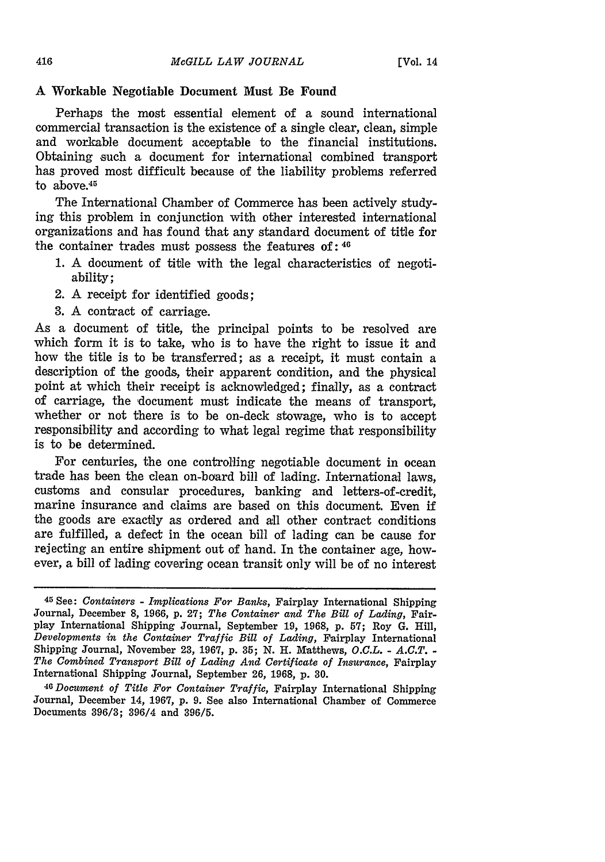#### **A** Workable Negotiable Document Must Be Found

Perhaps the most essential element of a sound international commercial transaction is the existence of a single clear, clean, simple and workable document acceptable to the financial institutions. Obtaining such a document for international combined transport has proved most difficult because of the liability problems referred to above.<sup>45</sup>

The International Chamber of Commerce has been actively studying this problem in conjunction with other interested international organizations and has found that any standard document of title for the container trades must possess the features **of: <sup>4</sup> .**

- 1. A document of title with the legal characteristics of negotiability;
- 2. A receipt for identified goods;
- 3. A contract of carriage.

As a document of title, the principal points to be resolved are which form it is to take, who is to have the right to issue it and how the title is to be transferred; as a receipt, it must contain a description of the goods, their apparent condition, and the physical point at which their receipt is acknowledged; finally, as a contract of carriage, the document must indicate the means of transport, whether or not there is to be on-deck stowage, who is to accept responsibility and according to what legal regime that responsibility is to be determined.

For centuries, the one controlling negotiable document in ocean trade has been the clean on-board bill of lading. International laws, customs and consular procedures, banking and letters-of-credit, marine insurance and claims are based on this document. Even if the goods are exactly as ordered and all other contract conditions are fulfilled, a defect in the ocean bill of lading can be cause for rejecting an entire shipment out of hand. In the container age, however, a bill of lading covering ocean transit only will be of no interest

**<sup>45</sup>**See: *Containers* **-** *Implications For Banks,* Fairplay International Shipping Journal, December **8, 1966,** p. **27;** *The Container and The Bill of Lading,* Fairplay International Shipping Journal, September 19, 1968, **p. 57;** Roy **G.** Hill, *Developments in the Container Traffic Bill of Lading,* Fairplay International Shipping Journal, November 23, 1967, **p. 35;** N. H. Matthews, O.C.L. **-** *A.C.T.* **-** *The Combined Transport Bill of Lading And Certificate of Insurance,* Fairplay International Shipping Journal, September 26, 1968, p. **30.**

**<sup>46</sup>***Document of Title For Container Traffic,* Fairplay International Shipping Journal, December 14, 1967, p. 9. See also International Chamber of Commerce Documents 396/3; 396/4 and 396/5.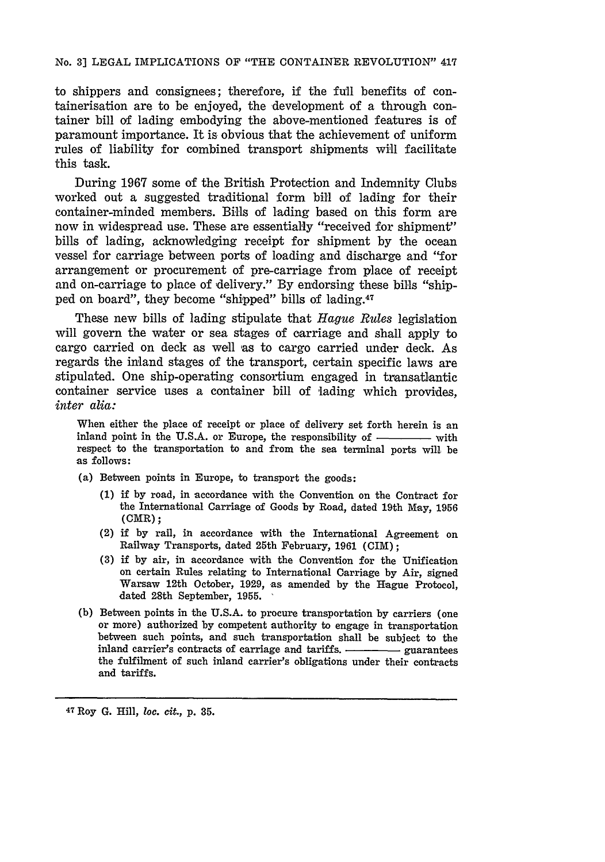#### No. **3]** LEGAL IMPLICATIONS OF "THE CONTAINER REVOLUTION" **417**

to shippers and consignees; therefore, if the full benefits of containerisation are to be enjoyed, the development of a through container bill of lading embodying the above-mentioned features is of paramount importance. It is obvious that the achievement of uniform rules of liability for combined transport shipments will facilitate this task.

During 1967 some of the British Protection and Indemnity Clubs worked out a suggested traditional form bill of lading for their container-minded members. Bills of lading based on this form are now in widespread use. These are essentially "received for shipment" bills of lading, acknowledging receipt for shipment by the ocean vessel for carriage between ports of loading and discharge and "for arrangement or procurement of pre-carriage from place of receipt and on-carriage to place of delivery." By endorsing these bills "shipped on board", they become "shipped" bills of lading.47

These new bills of lading stipulate that *Hague Rules* legislation will govern the water or sea stages of carriage and shall apply to cargo carried on deck as well as to cargo carried under deck. As regards the inland stages of the transport, certain specific laws are stipulated. One ship-operating consortium engaged in transatlantic container service uses a container bill of 'lading which provides, *inter alia:*

When either the place of receipt or place of delivery set forth herein is an inland point in the U.S.A. or Europe, the responsibility of with respect to the transportation to and from the sea terminal ports will be as follows:

- (a) Between points in Europe, to transport the goods:
	- (1) if by road, in accordance with the Convention on the Contract for the International Carriage of Goods by Road, dated 19th May, 1956 (CMR);
	- (2) if by rail, in accordance with the International Agreement on Railway Transports, dated 25th February, 1961 (CIM);
	- (3) if by air, in accordance with the Convention for the Unification on certain Rules relating to International Carriage by Air, signed Warsaw 12th October, **1929,** as amended **by** the Hague Protocol, dated 28th September, **1955.**
- **(b)** Between points in the **U.S.A.** to procure transportation **by** carriers (one or more) authorized **by** competent authority to engage in transportation between such points, and such transportation shall be subject to the inland carrier's contracts of carriage and tariffs. Guarantees the fulfilment of such inland carrier's obligations under their contracts and tariffs.

47 Roy **G.** Hill, *loc. cit.,* **p. 35.**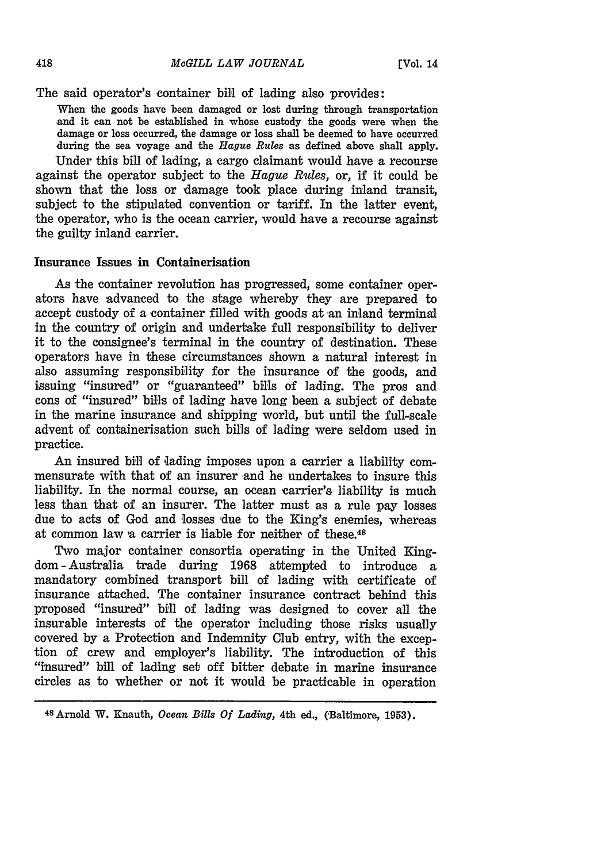The said operator's container bill of lading also provides:

**When the goods have been damaged or lost during through transportation and it can not be established in whose custody the goods were when the damage or loss occurred, the damage or loss shall be deemed to have occurred during the sea voyage and the** *Hague Rules* **as defined above shall apply.** Under this bill of lading, a cargo claimant would have a recourse against the operator subject to the *Hague Rules,* or, if it could be shown that the loss or damage took place during inland transit, subject to the stipulated convention or tariff. In the latter event, the operator, who is the ocean carrier, would have a recourse against the guilty inland carrier.

## Insurance Issues in Containerisation

As the container revolution has progressed, some container operators have advanced to the stage whereby they are prepared to accept custody of a container filled with goods at an inland terminal in the country of origin and undertake full responsibility to deliver it to the consignee's terminal in the country of destination. These operators have in these circumstances shown a natural interest in also assuming responsibility for the insurance of the goods, and issuing "insured" or "guaranteed" bills of lading. The pros and cons of "insured" bills of lading have long been a subject of debate in the marine insurance and shipping world, but until the full-scale advent of containerisation such bills of lading were seldom used in practice.

An insured bill of lading imposes upon a carrier a liability commensurate with that of an insurer and he undertakes to insure this liability. In the normal course, an ocean carrier's liability is much less than that of an insurer. The latter must as a rule pay losses due to acts of God and 'losses due to the King's enemies, whereas at common law a carrier is liable for neither of these. $48$ 

Two major container consortia operating in the United Kingdom-Australia trade during **1968** attempted to introduce a mandatory combined transport bill of lading with certificate of insurance attached. The container insurance contract behind this proposed "insured" bill of lading was designed to cover all the insurable interests of the operator including those risks usually covered **by** a Protection and Indemnity Club entry, with the exception of crew and employer's liability. The introduction of this "insured" bill of lading set off bitter debate in marine insurance circles as to whether or not it would be practicable in operation

418

**<sup>4</sup> <sup>8</sup> Arnold W. Knauth,** *Ocean Bills Of Lading,* **4th ed., (Baltimore, 1953).**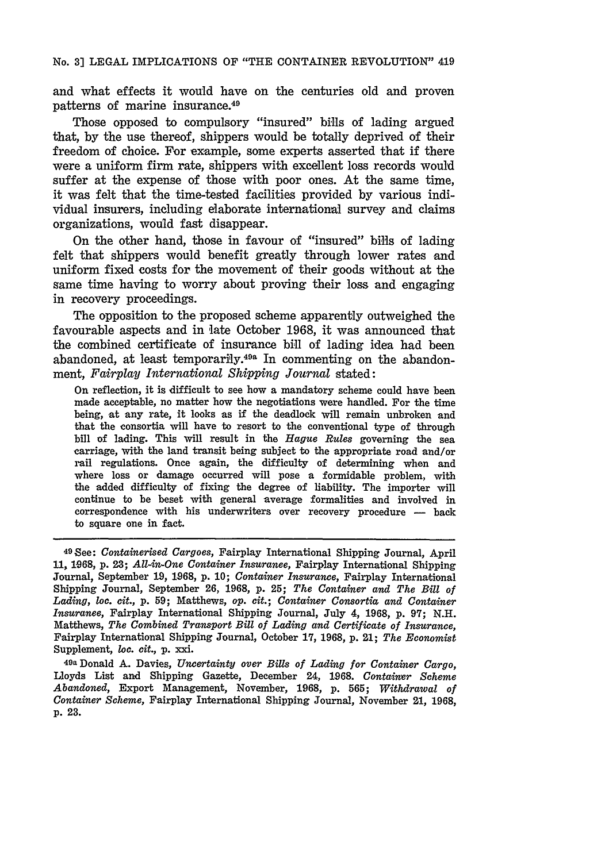No. **31** LEGAL IMPLICATIONS OF "THE CONTAINER REVOLUTION" 419

and what effects it would have on the centuries old and proven patterns of marine insurance. <sup>49</sup>

Those opposed to compulsory "insured" bills of lading argued that, by the use thereof, shippers would be totally deprived of their freedom of choice. For example, some experts asserted that if there were a uniform firm rate, shippers with excellent loss records would suffer at the expense of those with poor ones. At the same time, it was felt that the time-tested facilities provided by various individual insurers, including elaborate international survey and claims organizations, would fast disappear.

On the other hand, those in favour of "insured" bills of lading felt that shippers would benefit greatly through lower rates and uniform fixed costs for the movement of their goods without at the same time having to worry about proving their loss and engaging in recovery proceedings.

The opposition to the proposed scheme apparently outweighed the favourable aspects and in late October 1968, it was announced that the combined certificate of insurance bill of lading idea had been abandoned, at least temporarily. $49a$  In commenting on the abandonment, *Fairplay International Shipping Journal* stated:

On reflection, it is difficult to see how a mandatory scheme could have been made acceptable, no matter how the negotiations were handled. For the time being, at any rate, it looks as if the deadlock will remain unbroken and that the consortia will have to resort to the conventional type of through bill of lading. This will result in the *Hague Rules* governing the sea carriage, with the land transit being subject to the appropriate road and/or rail regulations. Once again, the difficulty of determining when and where loss or damage occurred will pose a formidable problem, with the added difficulty of fixing the degree of liability. The importer will continue to be beset with general average formalities and involved in correspondence with his underwriters over recovery procedure -- back to square one in fact.

49a Donald A. Davies, *Uncertainty over Bills of Lading for Container Cargo,* Lloyds List and Shipping Gazette, December 24, 1968. *Container Scheme Abandoned,* Export Management, November, 1968, p. **565;** *Withdrawal of Container Scheme,* Fairplay International Shipping Journal, November 21, 1968, p. **23.**

**<sup>49</sup>See:** *Containerised Cargoes,* Fairplay International Shipping Journal, April **11, 1968,** p. **23;** *All-in-One Container Insurance,* Fairplay International Shipping Journal, September 19, **1968,** p. **10;** *Container Insurance,* Fairplay International Shipping Journal, September 26, 1968, p. 25; *The Container and The Bill of Lading, loc. cit.,* **p. 59;** Matthews, *op. cit.; Container Consortia and Container Insurance,* Fairplay International Shipping Journal, July 4, 1968, p. **97; N.H.** Matthews, *The Combined Transport Bill of Lading and Certificate of Insurance,* Fairplay International Shipping Journal, October 17, 1968, p. 21; *The Economist* Supplement, *loc. cit.,* p. xxi.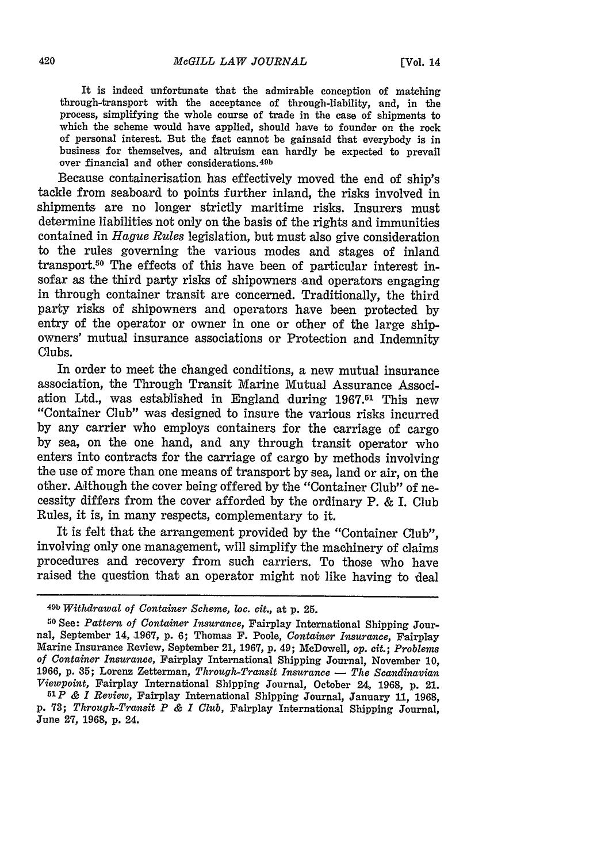It is indeed unfortunate that the admirable conception of matching through-transport with the acceptance of through-liability, and, in the process, simplifying the whole course of trade in the case of shipments to which the scheme would have applied, should have to founder on the rock of personal interest. But the fact cannot be gainsaid that everybody is in business for themselves, and altruism can hardly be expected to prevail over financial and other considerations.<sup>49b</sup>

Because containerisation has effectively moved the end of ship's tackle from seaboard to points further inland, the risks involved in shipments are no longer strictly maritime risks. Insurers must determine liabilities not only on the basis of the rights and immunities contained in *Hague Rules* legislation, but must also give consideration to the rules governing the various modes and stages of inland transport.50 The effects of this have been of particular interest insofar as the third party risks of shipowners and operators engaging in through container transit are concerned. Traditionally, the third party risks of shipowners and operators have been protected by entry of the operator or owner in one or other of the large shipowners' mutual insurance associations or Protection and Indemnity Clubs.

In order to meet the changed conditions, a new mutual insurance association, the Through Transit Marine Mutual Assurance Association Ltd., was established in England during 1967.51 This new "Container Club" was designed to insure the various risks incurred by any carrier who employs containers for the carriage of cargo by sea, on the one hand, and any through transit operator who enters into contracts for the carriage of cargo by methods involving the use of more than one means of transport by sea, land or air, on the other. Although the cover being offered by the "Container Club" of necessity differs from the cover afforded by the ordinary P. & I. Club Rules, it is, in many respects, complementary to it.

It is felt that the arrangement provided by the "Container Club", involving only one management, will simplify the machinery of claims procedures and recovery from such carriers. To those who have raised the question that an operator might not like having to deal

**<sup>49</sup>b** *Withdrawal of Container Scheme, loc. cit.,* at p. 25.

**<sup>50</sup>** See: *Pattern of Container Insurance,* Fairplay International Shipping Journal, September 14, 1967, p. 6; Thomas F. Poole, *Container Insurance,* Fairplay Marine Insurance Review, September 21, 1967, p. 49; McDowell, *op. cit.; Problems of Container Insurance,* Fairplay International Shipping Journal, November **10,** 1966, p. **85;** Lorenz Zetterman, *Through-Transit Insurance* **-** *The Scandinavian Viewpoint,* Fairplay International Shipping Journal, October 24, **1968,** p. 21.

*<sup>51</sup>p & I Review,* Fairplay International Shipping Journal, January 11, 1968, p. 73; *Through-Transit P & I Club,* Fairplay International Shipping Journal, June **27,** 1968, p. 24.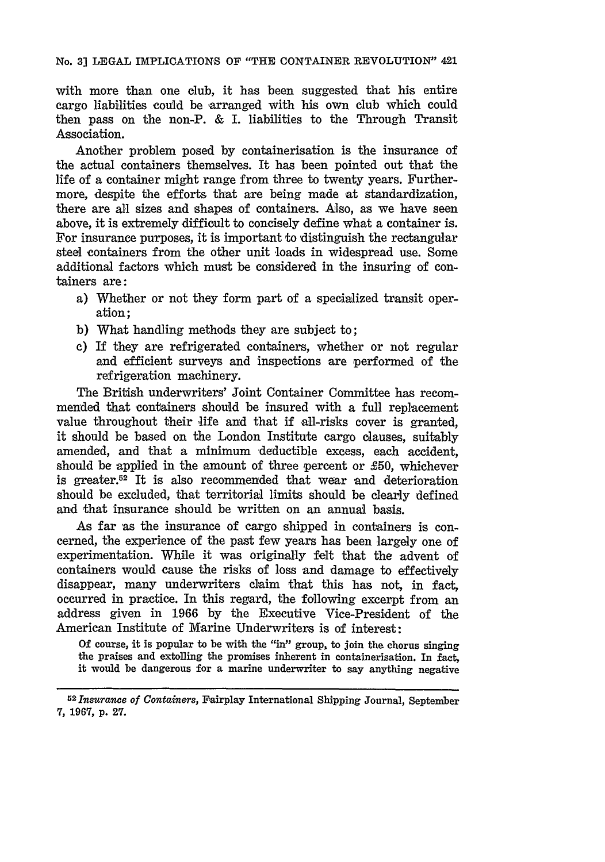with more than one club, it has been suggested that his entire cargo liabilities could be arranged with his own club which could then pass on the non-P. & I. liabilities to the Through Transit Association.

Another problem posed by containerisation is the insurance of the actual containers themselves. It has been pointed out that the life of a container might range from three to twenty years. Furthermore, despite the efforts that are being made at standardization, there are all sizes and shapes of containers. Also, as we have seen above, it is extremely difficult to concisely define what a container is. For insurance purposes, it is important to distinguish the rectangular steel containers from the other unit loads in widespread use. Some additional factors which must be considered in the insuring of containers are:

- a) Whether or not they form part of a specialized transit operation;
- **b)** What handling methods they are subject to;
- **c)** If they are refrigerated containers, whether or not regular and efficient surveys and inspections are performed of the refrigeration machinery.

The British underwriters' Joint Container Committee has recommended that containers should be insured with a full replacement value throughout their life and that if all-risks cover is granted, it should be based on the London Institute cargo clauses, suitably amended, and that a minimum deductible excess, each accident, should be applied in the amount of three percent or **£50,** whichever is greater.<sup>52</sup> It is also recommended that wear and deterioration should be excluded, that territorial limits should be clearly defined and that insurance should be written on an annual basis.

As far 'as the insurance of cargo shipped in containers is concerned, the experience of the past few years has been largely one of experimentation. While it was originally felt that the advent of containers would cause the risks of loss and damage to effectively disappear, many underwriters claim that this has not, in fact, occurred in practice. In this regard, the following excerpt from an address given in **1966 by** the Executive Vice-President of the American Institute of Marine Underwriters is of interest:

**Of** course, it is popular to be with the "in" group, to join the chorus singing the praises and extolling the promises inherent in containerisation. In fact, it would be dangerous for a marine underwriter to say anything negative

*<sup>5</sup> 2 Insurance of Containers,* Fairplay International Shipping Journal, September **7, 1967, p. 27.**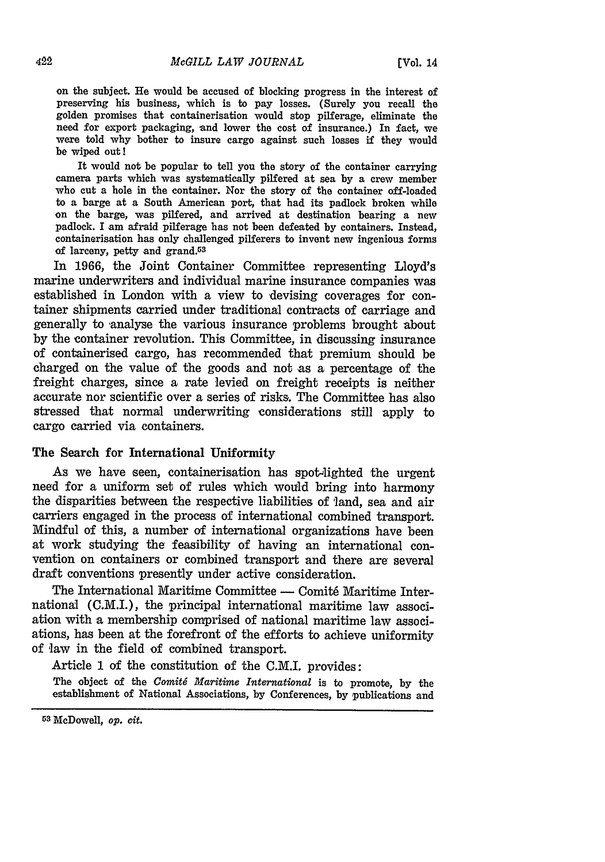on the subject. He would be accused of blocking progress in the interest of preserving his business, which is to pay losses. (Surely you recall the golden promises that containerisation would stop pilferage, eliminate the need for export packaging, and lower the cost of insurance.) In fact, we were told why bother to insure cargo against such losses if they would be wiped out!

It would not be popular to tell you the story of the container carrying camera parts which was systematically pilfered at sea **by** a crew member who cut a hole in the container. Nor the story of the container off-loaded to a barge at a South American port, that had its padlock broken while on the barge, was pilfered, and arrived at destination bearing a new padlock. I am afraid pilferage has not been defeated **by** containers. Instead, containerisation has only challenged pilferers to invent new ingenious forms of larceny, petty and grand.53

In **1966,** the Joint Container Committee representing Lloyd's marine underwriters and individual marine insurance companies was established in London with a view to devising coverages for container shipments carried under traditional contracts of carriage and generally to analyse the various insurance problems brought about **by** the container revolution. This Committee, in discussing insurance of containerised cargo, has recommended that premium should be charged on the value of the goods and not as a percentage of the freight charges, since a rate levied on freight receipts is neither accurate nor scientific over a series of risks. The Committee has also stressed that normal underwriting considerations still apply to cargo carried via containers.

### The Search for International Uniformity

As we have seen, containerisation has spot-lighted the urgent need for a uniform set of rules which would bring into harmony the disparities between the respective liabilities of land, sea and air carriers engaged in the process of international combined transport. Mindful of this, a number of international organizations have been at work studying the feasibility of having an international convention on containers or combined transport and there are several draft conventions presently under active consideration.

The International Maritime Committee **-** Comit6 Maritime International (C.M.I.), the principal international maritime law association with a membership comprised of national maritime law associations, has been at the forefront of the efforts to achieve uniformity of law in the field of combined transport.

Article **1** of the constitution of the C.M.I. provides:

The object of the *Comité Maritime International* is to promote, by the establishment of National Associations, **by** Conferences, **by** publications and

**<sup>53</sup>**McDowell, *op. cit.*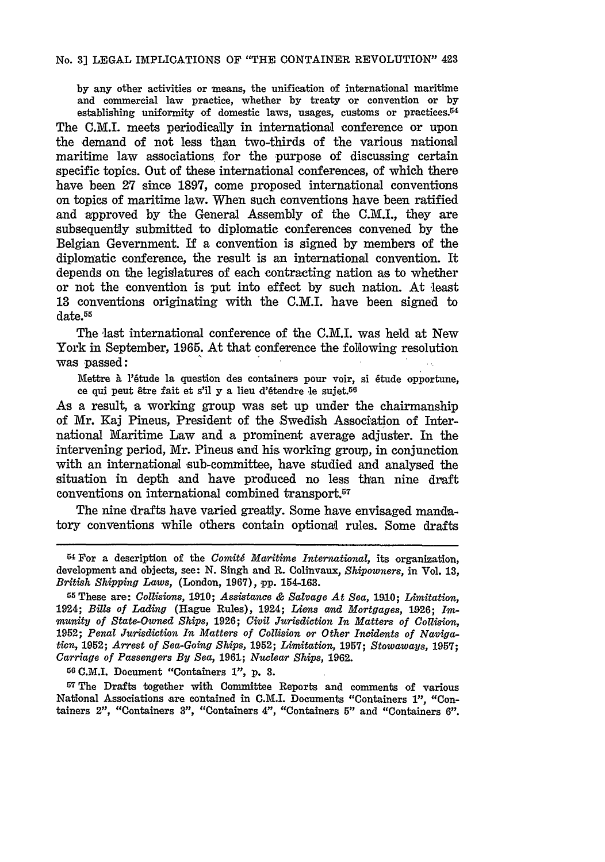**by** any other activities or means, the unification of international maritime and commercial law practice, whether **by** treaty Or convention or **by** establishing uniformity of domestic laws, usages, customs or practices.<sup>54</sup> The C.M.I. meets periodically in international conference or upon the demand of not less than two-thirds of the various national maritime law associations for the purpose **of** discussing certain specific topics. Out **of** these international conferences, of which there have been **27** since **1897,** come proposed international conventions on topics of maritime law. When such conventions have been ratified and approved **by** the General Assembly of the C.M.I., they are subsequently submitted to diplomatic conferences convened **by** the Belgian Government. If a convention is signed **by** members of the diplomatic conference, the result is an international convention. It depends on the legislatures of each contracting nation as to whether or not the convention is put into effect **by** such nation. At least **13** conventions originating with the C.M.I. have been signed to date.<sup>55</sup>

The last international conference of the C.M.I. was held at New York in September, **1965.** At that conference the following resolution was passed:

Mettre à l'étude la question des containers pour voir, si étude opportune, ce qui peut 6tre fait et s'il y a lieu d'6tendre le sujet.5 6

As a result, a working group was set up under the chairmanship of Mr. Kaj Pineus, President of the Swedish Association of International Maritime Law and a prominent average adjuster. In the intervening period, Mr. Pineus and his working group, in conjunction with an international sub-committee, have studied and analysed the situation in depth and have produced no less than nine draft conventions on international combined transport.57

The nine drafts have varied greatly. Some have envisaged mandatory conventions while others contain optional rules. Some drafts

55 These are: *Collisions,* **1910;** *Assistance & Salvage At Sea,* **1910;** *Limitation,* 1924; *Bills of Lading* (Hague Rules), 1924; *Liens and Mortgages,* 1926; *Iminunity of State-Owned Ships,* 1926; *Civil Jurisdiction In Matters of Collision,* **1952;** *Penal Jurisdiction In Matters of Collision or Other Incidents of Navigation,* **1952;** *Arrest of Sea-Going Ships,* 1952; *Limitation,* **1957;** *Stowaways,* **1957;** *Carriage of Passengers By Sea,* 1961; *Nuclear Ships,* 1962.

**<sup>55</sup>**C.M.I. Document "Containers **1", p. 3.**

<sup>57</sup>**The** Drafts together with Committee Reports and comments of various National Associations are contained in C.M.I. Documents "Containers **1",** "Containers *2",* "Containers **3",** "Containers 4", "Containers **5"** and "Containers 6".

<sup>54</sup> For a description of the *Conitg Maritime International,* its organization, development and objects, see: N. Singh and R. Colinvaux, *Shipowners,* in Vol. **13,** *British Shipping Laws,* (London, **1967), pp. 154-163.**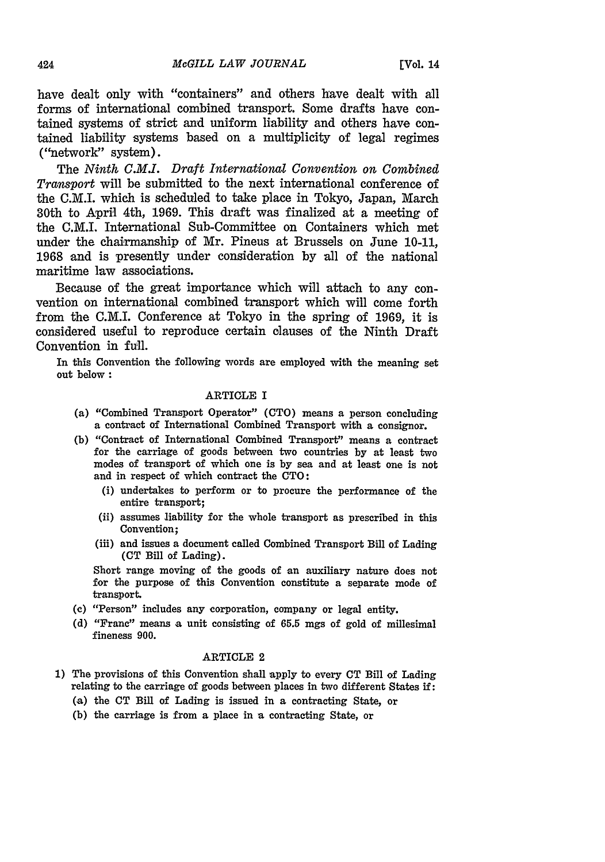have dealt only with "containers" and others have dealt with all forms of international combined transport. Some drafts have contained systems of strict and uniform liability and others have contained liability systems based on a multiplicity of legal regimes ("network" system).

The *Ninth C.M.I. Draft International Convention on Combined Transport* will be submitted to the next international conference of the C.M.I. which is scheduled to take place in Tokyo, Japan, March 30th to April 4th, 1969. This draft was finalized at a meeting of the C.M.I. International Sub-Committee on Containers which met under the chairmanship of Mr. Pineus at Brussels on June 10-11, 1968 and is presently under consideration by all of the national maritime law associations.

Because of the great importance which will attach to any convention on international combined transport which will come forth from the C.M.I. Conference at Tokyo in the spring of 1969, it is considered useful to reproduce certain clauses of the Ninth Draft Convention in full.

In this Convention the following words are employed with the meaning set out below:

## ARTICLE I

- (a) "Combined Transport Operator" (CTO) means a person concluding a contract of International Combined Transport with a consignor.
- (b) "Contract of International Combined Transport" means a contract for the carriage of goods between two countries by at least two modes of transport of which one is by sea and at least one is not and in respect of which contract the CTO:
	- (i) undertakes to perform or to procure the performance of the entire transport;
	- (ii) assumes liability for the whole transport as prescribed in this Convention;
	- (iii) and issues a document called Combined Transport Bill of Lading (CT Bill of Lading).

Short range moving of the goods of an auxiliary nature does not for the purpose of this Convention constitute a separate mode of transport.

- (c) "Person" includes any corporation, company or legal entity.
- (d) "Franc" means a unit consisting of 65.5 mgs of gold of millesimal fineness 900.

#### ARTICLE 2

- **1)** The provisions of this Convention shall apply to every CT Bill of Lading relating to the carriage of goods between places in two different States if:
	- (a) the **CT** Bill of Lading is issued in a contracting State, or
	- (b) the carriage is from a place in a contracting State, or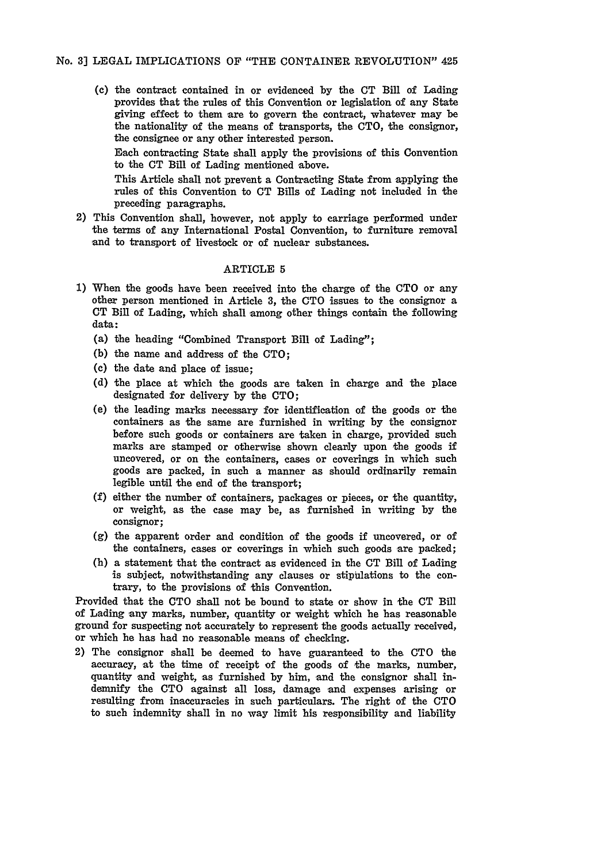**(c)** the contract contained in or evidenced **by** the **CT** Bill of Lading provides that the rules of this Convention or legislation of any State giving effect to them are to govern the contract, whatever may be the nationality of the means of transports, the **CTO,** the consignor, the consignee or any other interested person.

Each contracting State shall apply the provisions of this Convention to the **CT** Bill of Lading mentioned above.

This Article shall not prevent a Contracting State from applying the rules of this Convention to **CT** Bills of Lading not included in the preceding paragraphs.

2) This Convention shall, however, not apply to carriage performed under the terms of any International Postal Convention, to furniture removal and to transport of livestock or of nuclear substances.

#### ARTICLE **5**

- **1)** When the goods have been received into the charge of the **CTO** or any other person mentioned in Article **3,** the **CTO** issues to the consignor a **CT** Bill of Lading, which shall among other things contain the following data:
	- (a) the heading "Combined Transport Bill of Lading";
	- (b) the name and address of the CTO;
	- (c) the date and place of issue;
	- (d) the place at which the goods are taken in charge and the place designated for delivery by the CTO;
	- (e) the leading marks necessary for identification of the goods or the containers as the same are furnished in writing **by** the consignor before such goods or containers are taken in charge, provided such marks are stamped or otherwise shown clearly upon the goods if uncovered, or on the containers, cases or coverings in which such goods are packed, in such a manner as should ordinarily remain legible until the end of the transport;
	- **(f)** either the number of containers, packages or pieces, or the quantity, or weight, as the case may be, as furnished in writing **by** the consignor;
	- **(g)** the apparent order and condition of the goods if uncovered, or of the containers, cases or coverings in which such goods are packed;
	- (h) a statement that the contract as evidenced in the CT Bill of Lading is subject, notwithstanding any clauses or stipulations to the con- trary, to the provisions of this Convention.

Provided that the **CTO** shall not be bound to state or show in the **CT** Bill of Lading any marks, number, quantity or weight which he has reasonable ground for suspecting not accurately to represent the goods actually received, or which he has had no reasonable means of checking.

2) The consignor shall be deemed to have guaranteed to the **CTO** the accuracy, at the time of receipt of the goods of the marks, number, quantity and weight, as furnished **by** him, and the consignor shall indemnify the **CTO** against all loss, damage and expenses arising or resulting from inaccuracies in such particulars. The right of the **CTO** to such indemnity shall in no way limit his responsibility and liability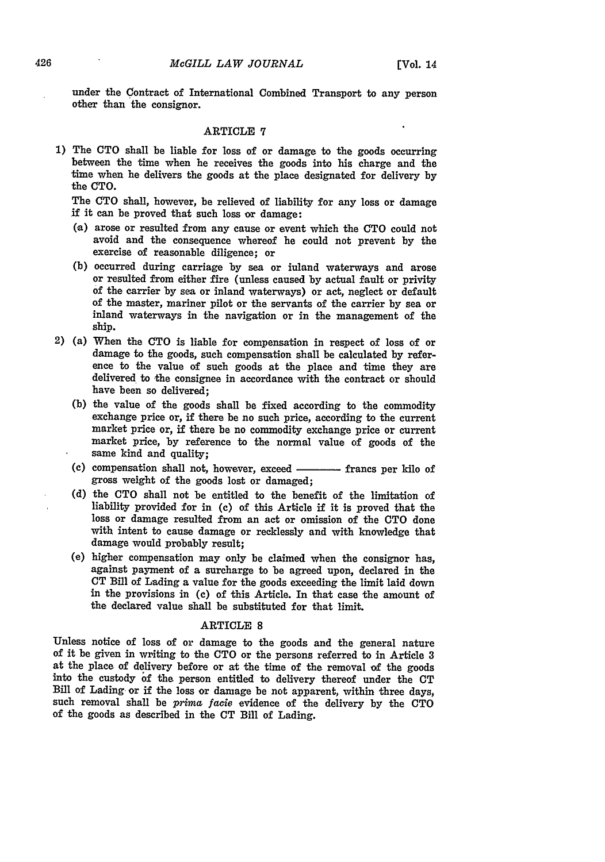under the Contract of International Combined Transport to any person other than the consignor.

#### ARTICLE **7**

**1)** The **CTO** shall be liable for loss of or damage to the goods occurring between the time when he receives the goods into his charge and the time when he delivers the goods at the place designated for delivery **by** the **CTO.**

The **CTO** shall, however, be relieved of liability for any loss or damage if it can be proved that such loss or damage:

- (,a) arose or resulted from any cause or event which the **CTO** could not avoid and the consequence whereof he could not prevent **by** the exercise of reasonable diligence; or
- **(b)** occurred during carriage **by** sea or inland waterways and arose or resulted from either fire (unless caused **by** actual fault or privity of the carrier **by** sea or inland waterways) or act, neglect or default of the master, mariner pilot or the servants of the carrier **by** sea or inland waterways in the navigation or in the management **of** the ship.
- 2) (a) When the CTO is liable for compensation in respect of loss of or damage to the goods, such compensation shall be calculated by reference to the value of such goods at the place and time they are delivered to the con have been so delivered;
	- **(b)** the value of the goods shall be fixed according to the commodity exchange price or, if there be no such price, according to the current market price or, if there be no commodity exchange price or current market price, **by** reference to the normal value of goods of the same kind and quality;
	- (c) compensation shall not, however, exceed **francs** per kilo of gross weight of the goods lost or damaged;
	- **(d)** the **CTO** shall not be entitled to the benefit of the limitation of liability provided for in **(c)** of this Article if it is proved that the loss or damage resulted from an act or omission of the **CTO** done with intent to cause damage or recklessly and with knowledge that damage would probably result;
	- (e) higher compensation may only be claimed when the consignor has, against payment of a surcharge to be agreed upon, declared in the **CT** Bill of Lading a value for the goods exceeding the limit laid down in the provisions in (c) of this Article. In that case the amount of the declared value shall be substituted for that limit.

#### ARTICLE **8**

Unless notice of loss of or damage to the goods and the general nature of it be given in writing to the **CTO** or the persons referred to in Article **3** at the place of delivery before or at the time of the removal of the goods into the custody **f** the person entitled to delivery thereof under the **CT** Bill of Lading or if the loss or damage be not apparent, within three days, such removal shall be prima *facie* evidence of the delivery **by** the **CTO** of the goods as described in the **CT** Bill of Lading.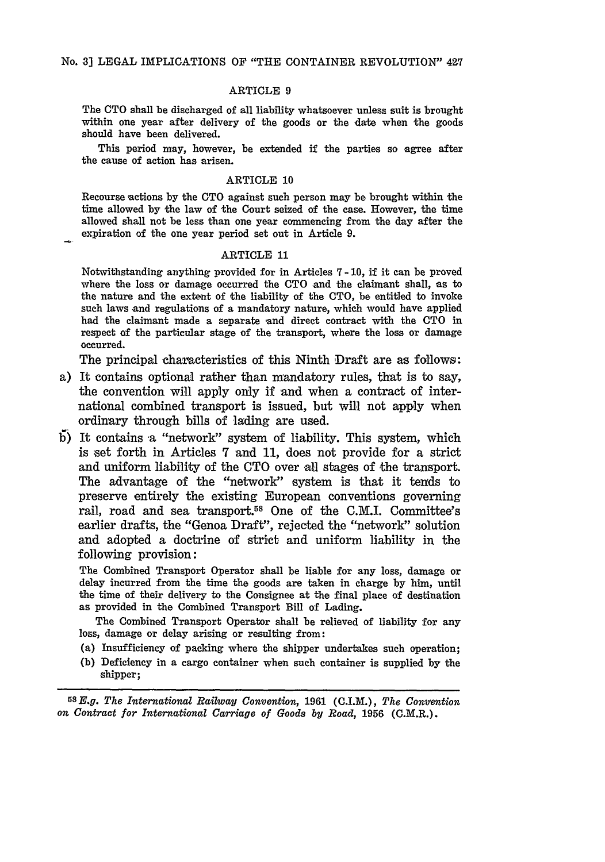#### ARTICLE 9

The **CTO** shall be discharged of all liability whatsoever unless suit is brought within one year after delivery of the goods or the date when the goods should have been delivered.

This period may, however, be extended if the parties so agree after the cause of action has arisen.

#### ARTICLE **10**

Recourse actions **by** the **CTO** against such person may be brought within the time allowed **by** the law of the Court seized of the case. However, the time allowed shall not be less than one year commencing from the day after the expiration of the one year period set out in Article **9.**

#### ARTICLE 11

Notwithstanding anything provided for in Articles **7-10,** if it can be proved where the loss or damage occurred the **CTO** and the claimant shall, as to the nature and the extent of the liability of the **CTO,** be entitled to invoke such laws and regulations of a mandatory nature, which would have applied had the claimant made a separate and direct contract with the **CTO** in respect of the particular stage of the transport, where the loss or damage occurred.

The principal characteristics of this Ninth Draft are as follows:

- a) It contains optional rather than mandatory rules, that is to say, the convention will apply only if and when a contract of international combined transport is issued, but will not apply when ordinary through bills of lading are used.
- **1)** It contains a "network" system of liability. This system, which is set forth in Articles **7** and **11,** does not provide for a strict and uniform liability of the **CTO** over all stages of 'the transport. The advantage of the "network" system is that it tends to preserve entirely the existing European conventions governing rail, road and sea transport.58 One of the C.M.I. Committee's earlier drafts, the "Genoa Draft", rejected the "network" solution and adopted a doctrine of strict and uniform liability in the following provision:

The Combined Transport Operator shall be liable for any loss, damage or delay incurred from the time the goods are taken in charge **by** him, until the time of their delivery to the Consignee at the final place of destination as provided in the Combined Transport Bill of Lading.

The Combined Transport Operator shall be relieved **of** liability for any loss, damage or delay arising or resulting from:

- (a) Insufficiency of packing where the shipper undertakes such operation;
- **(b)** Deficiency in a cargo container when such container is supplied **by** the shipper;

**58E.g.** *The International Railway Convention,* **1961 (C.I.M.),** *The Convention on Contract for International Carriage of Goods by Road,* **1956** (C.M.R.).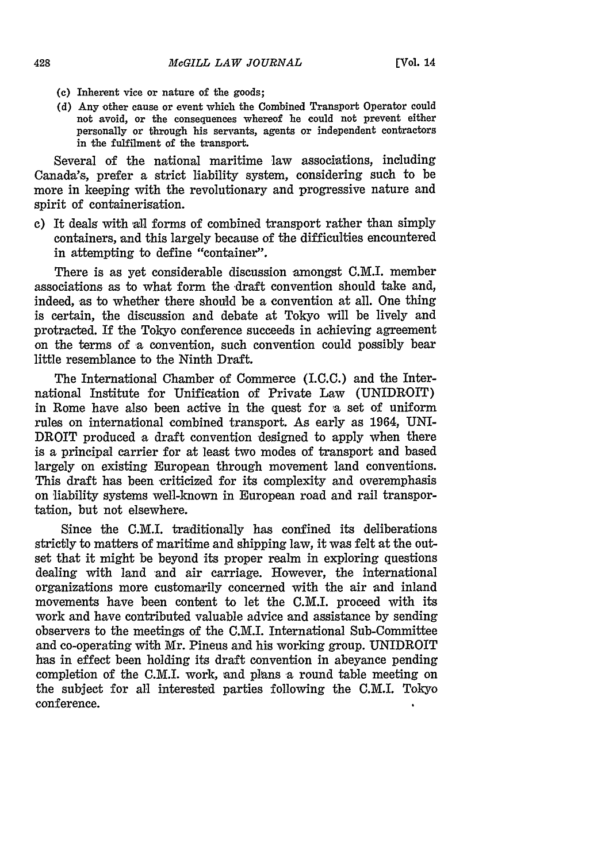- **(c) Inherent vice or nature of the goods;**
- **(d) Any other cause or** event **which the Combined Transport Operator could not avoid, or the consequences whereof he could not prevent either personally or through his servants, agents or independent contractors in the fulfilment of the transport.**

Several of the national maritime law associations, including Canada's, prefer a strict liability system, considering such to be more in keeping with the revolutionary and progressive nature and spirit of containerisation.

**c)** It deals with -all forms **of** combined transport rather than simply containers, and this largely because of the difficulties encountered in attempting to define "container".

There is as yet considerable discussion amongst **C.M.I.** member associations as to what form the draft convention should take and, indeed, as to whether there should be a convention at all. One thing is certain, the discussion and debate at Tokyo will be lively and protracted. If the Tokyo conference succeeds in achieving agreement on the terms of a convention, such convention could possibly bear little resemblance to the Ninth Draft.

The International Chamber of Commerce (I.C.C.) and the International Institute for Unification of Private Law (UNIDROIT) in Rome have also been active in the quest for a set of uniform rules on international combined transport. As early as 1964, UNI-DROIT produced a draft convention designed to apply when there is a principal carrier for at least two modes of transport and based largely on existing European through movement land conventions. This draft has been criticized for its complexity and overemphasis on liability systems well-known in European road and rail transportation, but not elsewhere.

Since the C.M.I. traditionally has confined its deliberations strictly to matters of maritime and shipping law, it was felt at the outset that it might be beyond its proper realm in exploring questions dealing with land and air carriage. However, the international organizations more customarily concerned with the air and inland movements have been content to let the C.M.I. proceed with its work and have contributed valuable advice and assistance **by** sending observers to the meetings of the C.M.I. International Sub-Committee and co-operating with Mr. Pineus and his working group. UNIDROIT has in effect been holding its draft convention in abeyance pending completion of the C.M.I. work, and plans a round table meeting on the subject for all interested parties following the C.M.I. Tokyo conference.